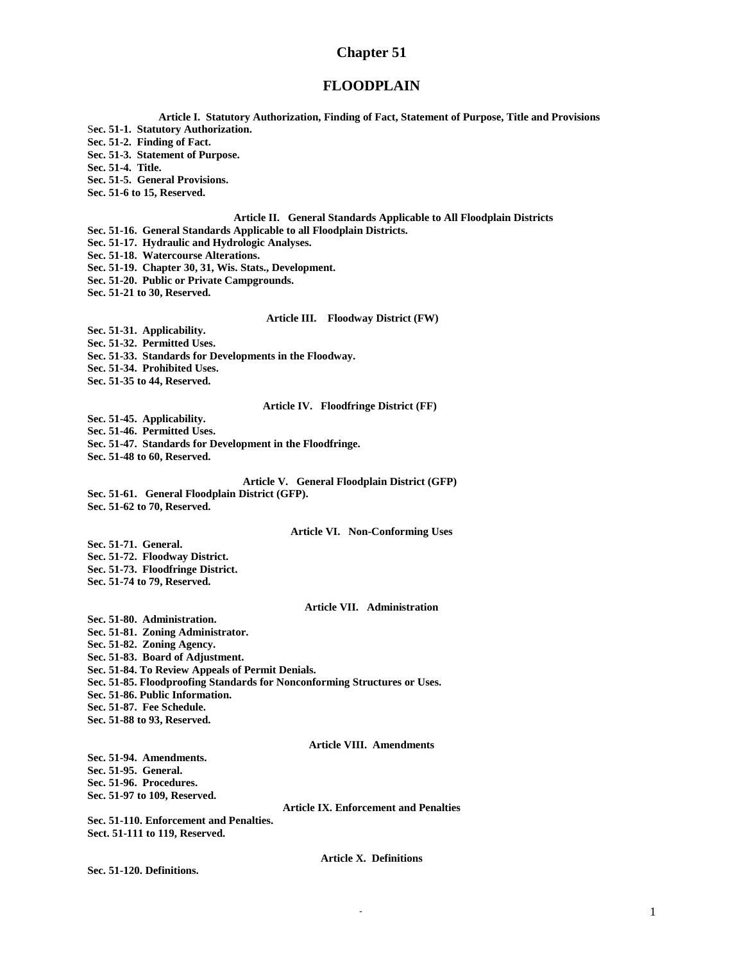## **Chapter 51**

### **FLOODPLAIN**

**Article I. Statutory Authorization, Finding of Fact, Statement of Purpose, Title and Provisions** S**ec. 51-1. Statutory Authorization. Sec. 51-2. Finding of Fact. Sec. 51-3. Statement of Purpose. Sec. 51-4. Title. Sec. 51-5. General Provisions. Sec. 51-6 to 15, Reserved. Article II. General Standards Applicable to All Floodplain Districts Sec. 51-16. General Standards Applicable to all Floodplain Districts. Sec. 51-17. Hydraulic and Hydrologic Analyses. Sec. 51-18. Watercourse Alterations. Sec. 51-19. Chapter 30, 31, Wis. Stats., Development. Sec. 51-20. Public or Private Campgrounds. Sec. 51-21 to 30, Reserved. Article III. Floodway District (FW) Sec. 51-31. Applicability. Sec. 51-32. Permitted Uses. Sec. 51-33. Standards for Developments in the Floodway. Sec. 51-34. Prohibited Uses. Sec. 51-35 to 44, Reserved. Article IV. Floodfringe District (FF) Sec. 51-45. Applicability. Sec. 51-46. Permitted Uses. Sec. 51-47. Standards for Development in the Floodfringe. Sec. 51-48 to 60, Reserved. Article V. General Floodplain District (GFP) Sec. 51-61. General Floodplain District (GFP). Sec. 51-62 to 70, Reserved. Article VI. Non-Conforming Uses Sec. 51-71. General. Sec. 51-72. Floodway District. Sec. 51-73. Floodfringe District. Sec. 51-74 to 79, Reserved. Article VII. Administration Sec. 51-80. Administration. Sec. 51-81. Zoning Administrator. Sec. 51-82. Zoning Agency. Sec. 51-83. Board of Adjustment. Sec. 51-84. To Review Appeals of Permit Denials. Sec. 51-85. Floodproofing Standards for Nonconforming Structures or Uses. Sec. 51-86. Public Information. Sec. 51-87. Fee Schedule. Sec. 51-88 to 93, Reserved. Article VIII. Amendments Sec. 51-94. Amendments. Sec. 51-95. General. Sec. 51-96. Procedures. Sec. 51-97 to 109, Reserved. Article IX. Enforcement and Penalties Sec. 51-110. Enforcement and Penalties. Sect. 51-111 to 119, Reserved. Article X. Definitions Sec. 51-120. Definitions.**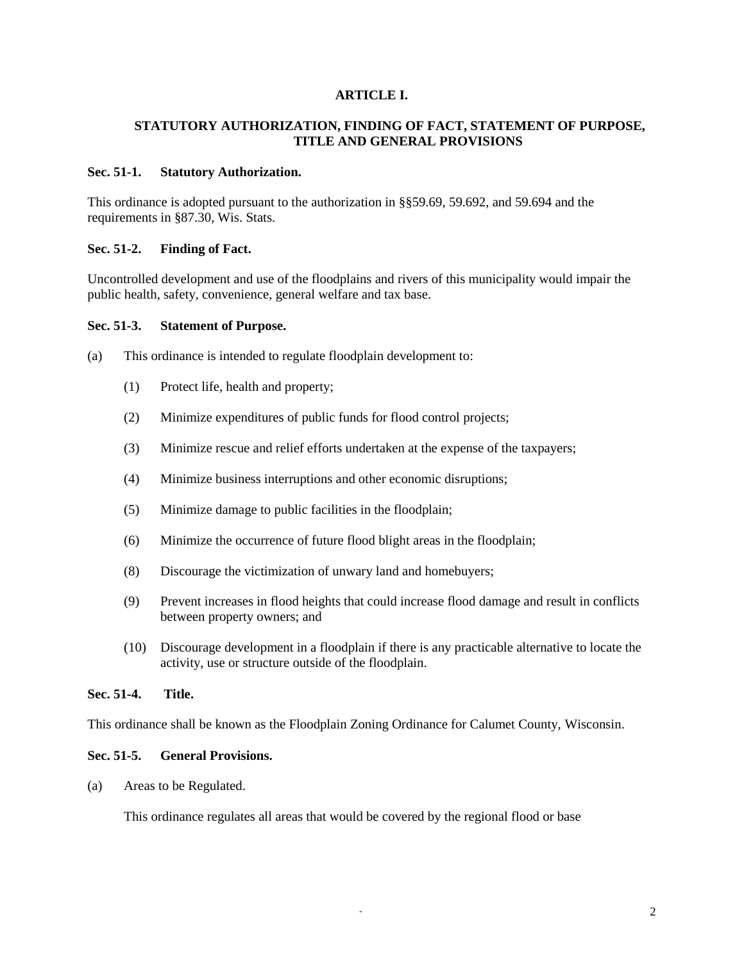### **ARTICLE I.**

## **STATUTORY AUTHORIZATION, FINDING OF FACT, STATEMENT OF PURPOSE, TITLE AND GENERAL PROVISIONS**

#### **Sec. 51-1. Statutory Authorization.**

This ordinance is adopted pursuant to the authorization in §§59.69, 59.692, and 59.694 and the requirements in §87.30, Wis. Stats.

### **Sec. 51-2. Finding of Fact.**

Uncontrolled development and use of the floodplains and rivers of this municipality would impair the public health, safety, convenience, general welfare and tax base.

#### **Sec. 51-3. Statement of Purpose.**

(a) This ordinance is intended to regulate floodplain development to:

- (1) Protect life, health and property;
- (2) Minimize expenditures of public funds for flood control projects;
- (3) Minimize rescue and relief efforts undertaken at the expense of the taxpayers;
- (4) Minimize business interruptions and other economic disruptions;
- (5) Minimize damage to public facilities in the floodplain;
- (6) Minimize the occurrence of future flood blight areas in the floodplain;
- (8) Discourage the victimization of unwary land and homebuyers;
- (9) Prevent increases in flood heights that could increase flood damage and result in conflicts between property owners; and
- (10) Discourage development in a floodplain if there is any practicable alternative to locate the activity, use or structure outside of the floodplain.

# **Sec. 51-4. Title.**

This ordinance shall be known as the Floodplain Zoning Ordinance for Calumet County, Wisconsin.

# **Sec. 51-5. General Provisions.**

(a) Areas to be Regulated.

This ordinance regulates all areas that would be covered by the regional flood or base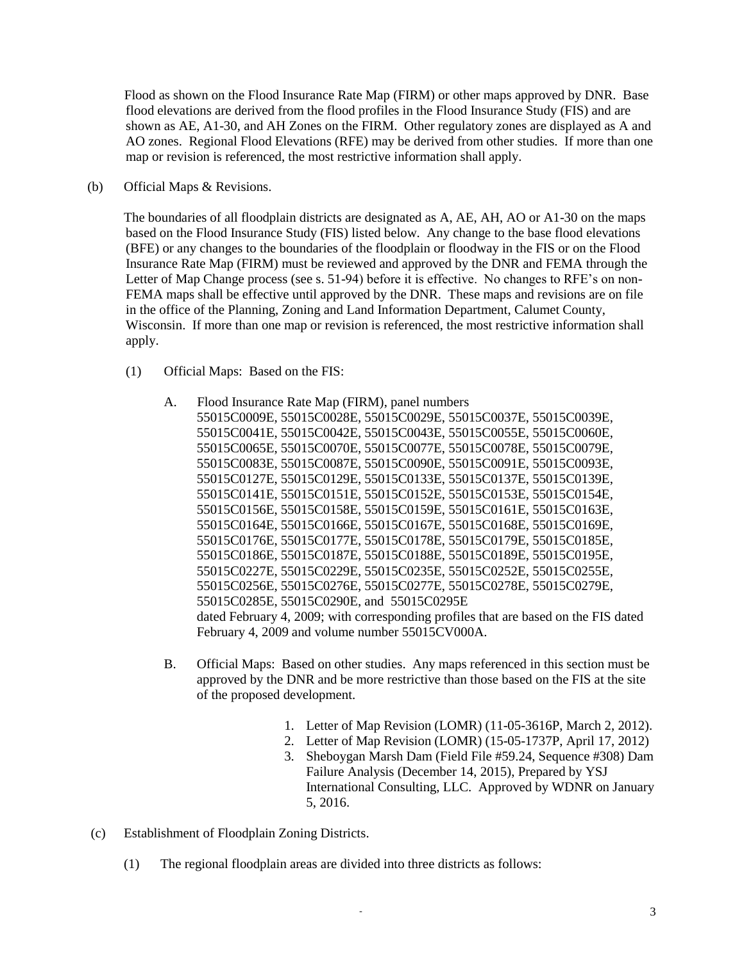Flood as shown on the Flood Insurance Rate Map (FIRM) or other maps approved by DNR. Base flood elevations are derived from the flood profiles in the Flood Insurance Study (FIS) and are shown as AE, A1-30, and AH Zones on the FIRM. Other regulatory zones are displayed as A and AO zones. Regional Flood Elevations (RFE) may be derived from other studies. If more than one map or revision is referenced, the most restrictive information shall apply.

(b) Official Maps & Revisions.

The boundaries of all floodplain districts are designated as A, AE, AH, AO or A1-30 on the maps based on the Flood Insurance Study (FIS) listed below. Any change to the base flood elevations (BFE) or any changes to the boundaries of the floodplain or floodway in the FIS or on the Flood Insurance Rate Map (FIRM) must be reviewed and approved by the DNR and FEMA through the Letter of Map Change process (see s. 51-94) before it is effective. No changes to RFE's on non-FEMA maps shall be effective until approved by the DNR. These maps and revisions are on file in the office of the Planning, Zoning and Land Information Department, Calumet County, Wisconsin. If more than one map or revision is referenced, the most restrictive information shall apply.

- (1) Official Maps: Based on the FIS:
	- A. Flood Insurance Rate Map (FIRM), panel numbers 55015C0009E, 55015C0028E, 55015C0029E, 55015C0037E, 55015C0039E, 55015C0041E, 55015C0042E, 55015C0043E, 55015C0055E, 55015C0060E, 55015C0065E, 55015C0070E, 55015C0077E, 55015C0078E, 55015C0079E, 55015C0083E, 55015C0087E, 55015C0090E, 55015C0091E, 55015C0093E, 55015C0127E, 55015C0129E, 55015C0133E, 55015C0137E, 55015C0139E, 55015C0141E, 55015C0151E, 55015C0152E, 55015C0153E, 55015C0154E, 55015C0156E, 55015C0158E, 55015C0159E, 55015C0161E, 55015C0163E, 55015C0164E, 55015C0166E, 55015C0167E, 55015C0168E, 55015C0169E, 55015C0176E, 55015C0177E, 55015C0178E, 55015C0179E, 55015C0185E, 55015C0186E, 55015C0187E, 55015C0188E, 55015C0189E, 55015C0195E, 55015C0227E, 55015C0229E, 55015C0235E, 55015C0252E, 55015C0255E, 55015C0256E, 55015C0276E, 55015C0277E, 55015C0278E, 55015C0279E, 55015C0285E, 55015C0290E, and 55015C0295E dated February 4, 2009; with corresponding profiles that are based on the FIS dated February 4, 2009 and volume number 55015CV000A.
	- B. Official Maps: Based on other studies. Any maps referenced in this section must be approved by the DNR and be more restrictive than those based on the FIS at the site of the proposed development.
		- 1. Letter of Map Revision (LOMR) (11-05-3616P, March 2, 2012).
		- 2. Letter of Map Revision (LOMR) (15-05-1737P, April 17, 2012)
		- 3. Sheboygan Marsh Dam (Field File #59.24, Sequence #308) Dam Failure Analysis (December 14, 2015), Prepared by YSJ International Consulting, LLC. Approved by WDNR on January 5, 2016.
- (c) Establishment of Floodplain Zoning Districts.
	- (1) The regional floodplain areas are divided into three districts as follows: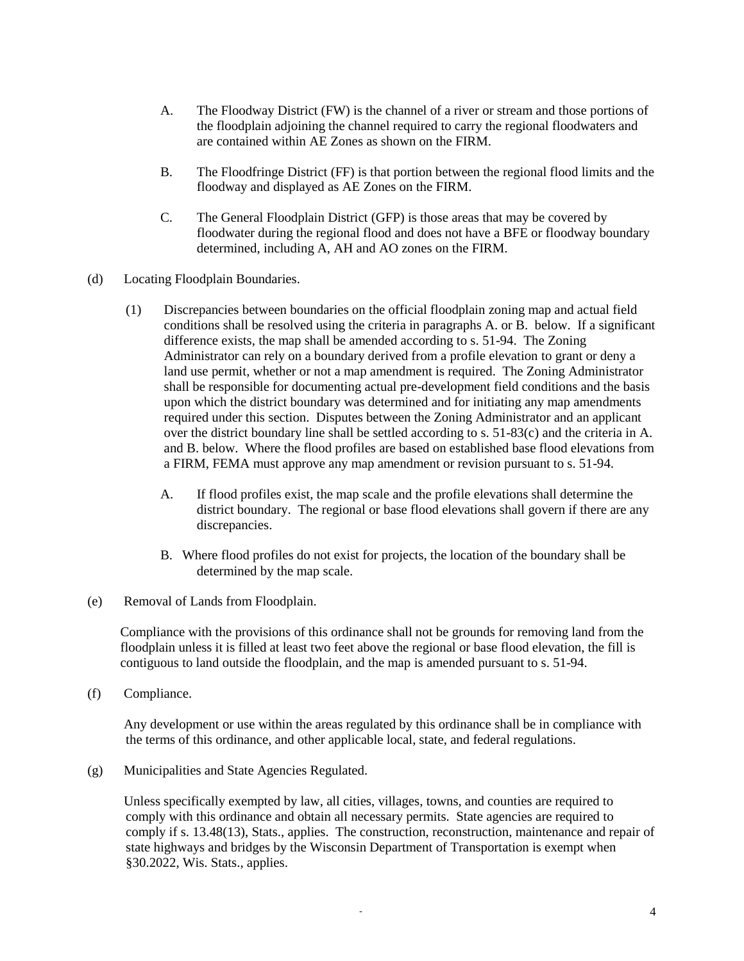- A. The Floodway District (FW) is the channel of a river or stream and those portions of the floodplain adjoining the channel required to carry the regional floodwaters and are contained within AE Zones as shown on the FIRM.
- B. The Floodfringe District (FF) is that portion between the regional flood limits and the floodway and displayed as AE Zones on the FIRM.
- C. The General Floodplain District (GFP) is those areas that may be covered by floodwater during the regional flood and does not have a BFE or floodway boundary determined, including A, AH and AO zones on the FIRM.
- (d) Locating Floodplain Boundaries.
	- (1) Discrepancies between boundaries on the official floodplain zoning map and actual field conditions shall be resolved using the criteria in paragraphs A. or B. below. If a significant difference exists, the map shall be amended according to s. 51-94. The Zoning Administrator can rely on a boundary derived from a profile elevation to grant or deny a land use permit, whether or not a map amendment is required. The Zoning Administrator shall be responsible for documenting actual pre-development field conditions and the basis upon which the district boundary was determined and for initiating any map amendments required under this section. Disputes between the Zoning Administrator and an applicant over the district boundary line shall be settled according to s. 51-83(c) and the criteria in A. and B. below. Where the flood profiles are based on established base flood elevations from a FIRM, FEMA must approve any map amendment or revision pursuant to s. 51-94.
		- A. If flood profiles exist, the map scale and the profile elevations shall determine the district boundary. The regional or base flood elevations shall govern if there are any discrepancies.
		- B. Where flood profiles do not exist for projects, the location of the boundary shall be determined by the map scale.
- (e) Removal of Lands from Floodplain.

Compliance with the provisions of this ordinance shall not be grounds for removing land from the floodplain unless it is filled at least two feet above the regional or base flood elevation, the fill is contiguous to land outside the floodplain, and the map is amended pursuant to s. 51-94.

(f) Compliance.

Any development or use within the areas regulated by this ordinance shall be in compliance with the terms of this ordinance, and other applicable local, state, and federal regulations.

(g) Municipalities and State Agencies Regulated.

Unless specifically exempted by law, all cities, villages, towns, and counties are required to comply with this ordinance and obtain all necessary permits. State agencies are required to comply if s. 13.48(13), Stats., applies. The construction, reconstruction, maintenance and repair of state highways and bridges by the Wisconsin Department of Transportation is exempt when §30.2022, Wis. Stats., applies.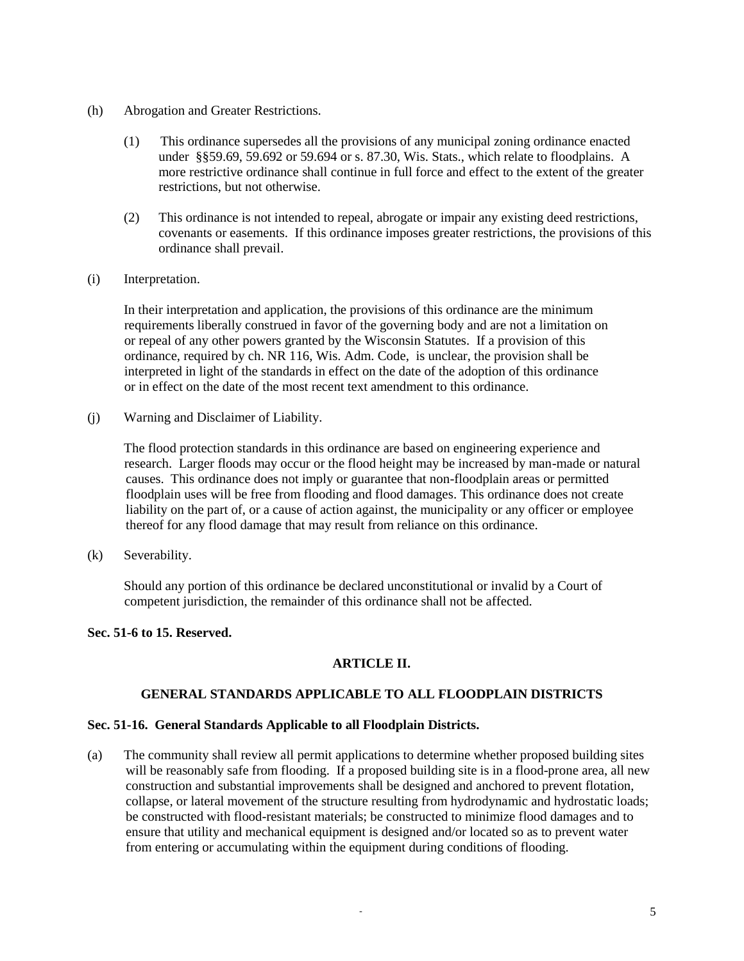- (h) Abrogation and Greater Restrictions.
	- (1) This ordinance supersedes all the provisions of any municipal zoning ordinance enacted under §§59.69, 59.692 or 59.694 or s. 87.30, Wis. Stats., which relate to floodplains. A more restrictive ordinance shall continue in full force and effect to the extent of the greater restrictions, but not otherwise.
	- (2) This ordinance is not intended to repeal, abrogate or impair any existing deed restrictions, covenants or easements. If this ordinance imposes greater restrictions, the provisions of this ordinance shall prevail.
- (i) Interpretation.

In their interpretation and application, the provisions of this ordinance are the minimum requirements liberally construed in favor of the governing body and are not a limitation on or repeal of any other powers granted by the Wisconsin Statutes. If a provision of this ordinance, required by ch. NR 116, Wis. Adm. Code, is unclear, the provision shall be interpreted in light of the standards in effect on the date of the adoption of this ordinance or in effect on the date of the most recent text amendment to this ordinance.

(j) Warning and Disclaimer of Liability.

The flood protection standards in this ordinance are based on engineering experience and research. Larger floods may occur or the flood height may be increased by man-made or natural causes. This ordinance does not imply or guarantee that non-floodplain areas or permitted floodplain uses will be free from flooding and flood damages. This ordinance does not create liability on the part of, or a cause of action against, the municipality or any officer or employee thereof for any flood damage that may result from reliance on this ordinance.

(k) Severability.

Should any portion of this ordinance be declared unconstitutional or invalid by a Court of competent jurisdiction, the remainder of this ordinance shall not be affected.

## **Sec. 51-6 to 15. Reserved.**

## **ARTICLE II.**

## **GENERAL STANDARDS APPLICABLE TO ALL FLOODPLAIN DISTRICTS**

#### **Sec. 51-16. General Standards Applicable to all Floodplain Districts.**

(a) The community shall review all permit applications to determine whether proposed building sites will be reasonably safe from flooding. If a proposed building site is in a flood-prone area, all new construction and substantial improvements shall be designed and anchored to prevent flotation, collapse, or lateral movement of the structure resulting from hydrodynamic and hydrostatic loads; be constructed with flood-resistant materials; be constructed to minimize flood damages and to ensure that utility and mechanical equipment is designed and/or located so as to prevent water from entering or accumulating within the equipment during conditions of flooding.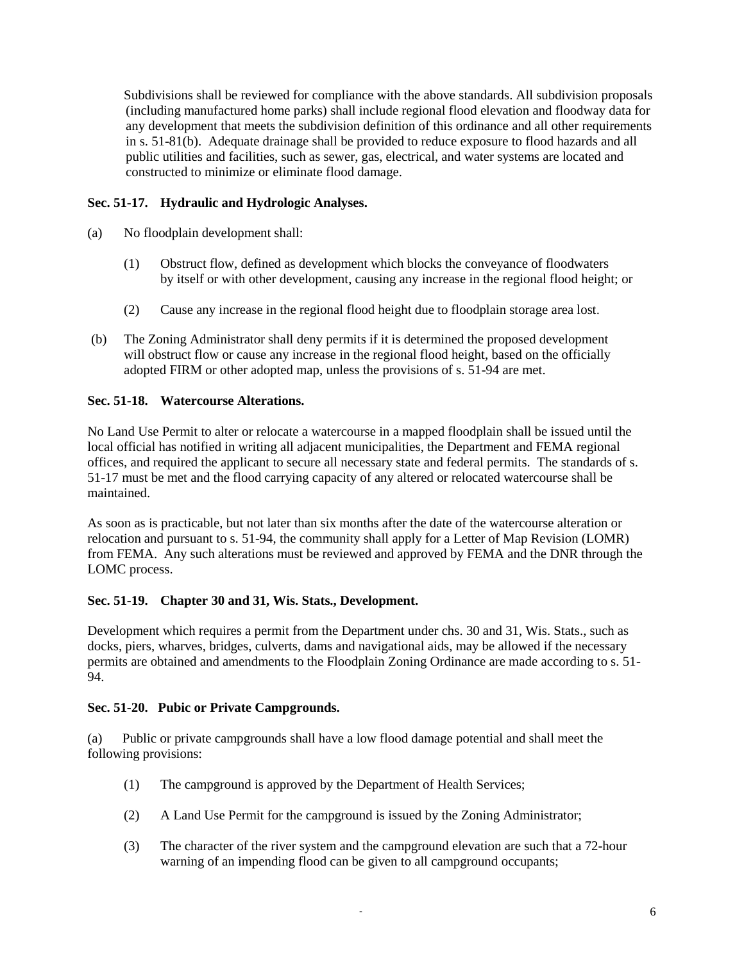Subdivisions shall be reviewed for compliance with the above standards. All subdivision proposals (including manufactured home parks) shall include regional flood elevation and floodway data for any development that meets the subdivision definition of this ordinance and all other requirements in s. 51-81(b). Adequate drainage shall be provided to reduce exposure to flood hazards and all public utilities and facilities, such as sewer, gas, electrical, and water systems are located and constructed to minimize or eliminate flood damage.

# **Sec. 51-17. Hydraulic and Hydrologic Analyses.**

- (a) No floodplain development shall:
	- (1) Obstruct flow, defined as development which blocks the conveyance of floodwaters by itself or with other development, causing any increase in the regional flood height; or
	- (2) Cause any increase in the regional flood height due to floodplain storage area lost.
- (b) The Zoning Administrator shall deny permits if it is determined the proposed development will obstruct flow or cause any increase in the regional flood height, based on the officially adopted FIRM or other adopted map, unless the provisions of s. 51-94 are met.

# **Sec. 51-18. Watercourse Alterations.**

No Land Use Permit to alter or relocate a watercourse in a mapped floodplain shall be issued until the local official has notified in writing all adjacent municipalities, the Department and FEMA regional offices, and required the applicant to secure all necessary state and federal permits. The standards of s. 51-17 must be met and the flood carrying capacity of any altered or relocated watercourse shall be maintained.

As soon as is practicable, but not later than six months after the date of the watercourse alteration or relocation and pursuant to s. 51-94, the community shall apply for a Letter of Map Revision (LOMR) from FEMA. Any such alterations must be reviewed and approved by FEMA and the DNR through the LOMC process.

# **Sec. 51-19. Chapter 30 and 31, Wis. Stats., Development.**

Development which requires a permit from the Department under chs. 30 and 31, Wis. Stats., such as docks, piers, wharves, bridges, culverts, dams and navigational aids, may be allowed if the necessary permits are obtained and amendments to the Floodplain Zoning Ordinance are made according to s. 51- 94.

## **Sec. 51-20. Pubic or Private Campgrounds.**

(a) Public or private campgrounds shall have a low flood damage potential and shall meet the following provisions:

- (1) The campground is approved by the Department of Health Services;
- (2) A Land Use Permit for the campground is issued by the Zoning Administrator;
- (3) The character of the river system and the campground elevation are such that a 72-hour warning of an impending flood can be given to all campground occupants;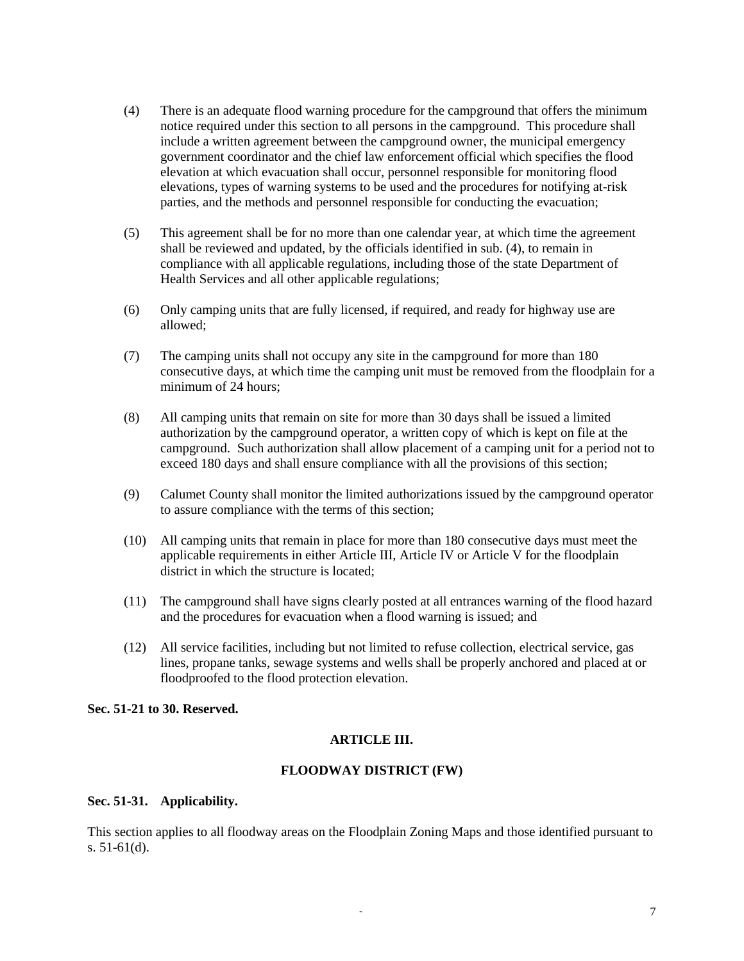- (4) There is an adequate flood warning procedure for the campground that offers the minimum notice required under this section to all persons in the campground. This procedure shall include a written agreement between the campground owner, the municipal emergency government coordinator and the chief law enforcement official which specifies the flood elevation at which evacuation shall occur, personnel responsible for monitoring flood elevations, types of warning systems to be used and the procedures for notifying at-risk parties, and the methods and personnel responsible for conducting the evacuation;
- (5) This agreement shall be for no more than one calendar year, at which time the agreement shall be reviewed and updated, by the officials identified in sub. (4), to remain in compliance with all applicable regulations, including those of the state Department of Health Services and all other applicable regulations;
- (6) Only camping units that are fully licensed, if required, and ready for highway use are allowed;
- (7) The camping units shall not occupy any site in the campground for more than 180 consecutive days, at which time the camping unit must be removed from the floodplain for a minimum of 24 hours;
- (8) All camping units that remain on site for more than 30 days shall be issued a limited authorization by the campground operator, a written copy of which is kept on file at the campground. Such authorization shall allow placement of a camping unit for a period not to exceed 180 days and shall ensure compliance with all the provisions of this section;
- (9) Calumet County shall monitor the limited authorizations issued by the campground operator to assure compliance with the terms of this section;
- (10) All camping units that remain in place for more than 180 consecutive days must meet the applicable requirements in either Article III, Article IV or Article V for the floodplain district in which the structure is located;
- (11) The campground shall have signs clearly posted at all entrances warning of the flood hazard and the procedures for evacuation when a flood warning is issued; and
- (12) All service facilities, including but not limited to refuse collection, electrical service, gas lines, propane tanks, sewage systems and wells shall be properly anchored and placed at or floodproofed to the flood protection elevation.

## **Sec. 51-21 to 30. Reserved.**

## **ARTICLE III.**

## **FLOODWAY DISTRICT (FW)**

## **Sec. 51-31. Applicability.**

This section applies to all floodway areas on the Floodplain Zoning Maps and those identified pursuant to s. 51-61(d).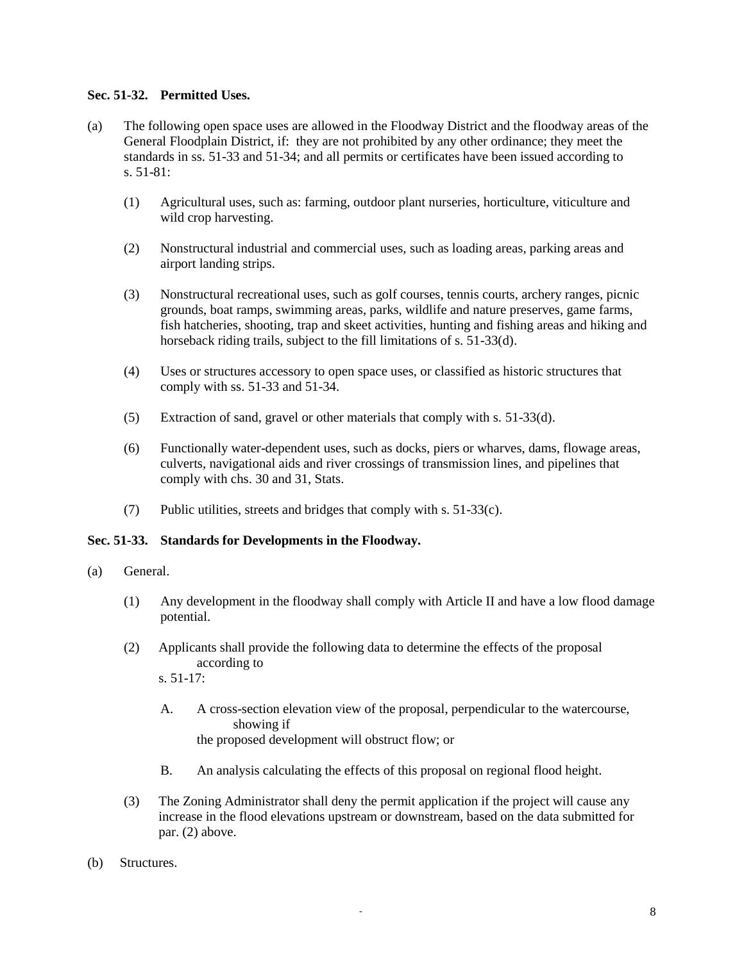## **Sec. 51-32. Permitted Uses.**

- (a) The following open space uses are allowed in the Floodway District and the floodway areas of the General Floodplain District, if: they are not prohibited by any other ordinance; they meet the standards in ss. 51-33 and 51-34; and all permits or certificates have been issued according to s. 51-81:
	- (1) Agricultural uses, such as: farming, outdoor plant nurseries, horticulture, viticulture and wild crop harvesting.
	- (2) Nonstructural industrial and commercial uses, such as loading areas, parking areas and airport landing strips.
	- (3) Nonstructural recreational uses, such as golf courses, tennis courts, archery ranges, picnic grounds, boat ramps, swimming areas, parks, wildlife and nature preserves, game farms, fish hatcheries, shooting, trap and skeet activities, hunting and fishing areas and hiking and horseback riding trails, subject to the fill limitations of s. 51-33(d).
	- (4) Uses or structures accessory to open space uses, or classified as historic structures that comply with ss. 51-33 and 51-34.
	- (5) Extraction of sand, gravel or other materials that comply with s. 51-33(d).
	- (6) Functionally water-dependent uses, such as docks, piers or wharves, dams, flowage areas, culverts, navigational aids and river crossings of transmission lines, and pipelines that comply with chs. 30 and 31, Stats.
	- (7) Public utilities, streets and bridges that comply with s. 51-33(c).

## **Sec. 51-33. Standards for Developments in the Floodway.**

- (a) General.
	- (1) Any development in the floodway shall comply with Article II and have a low flood damage potential.
	- (2) Applicants shall provide the following data to determine the effects of the proposal according to

s. 51-17:

- A. A cross-section elevation view of the proposal, perpendicular to the watercourse, showing if the proposed development will obstruct flow; or
- B. An analysis calculating the effects of this proposal on regional flood height.
- (3) The Zoning Administrator shall deny the permit application if the project will cause any increase in the flood elevations upstream or downstream, based on the data submitted for par. (2) above.
- (b) Structures.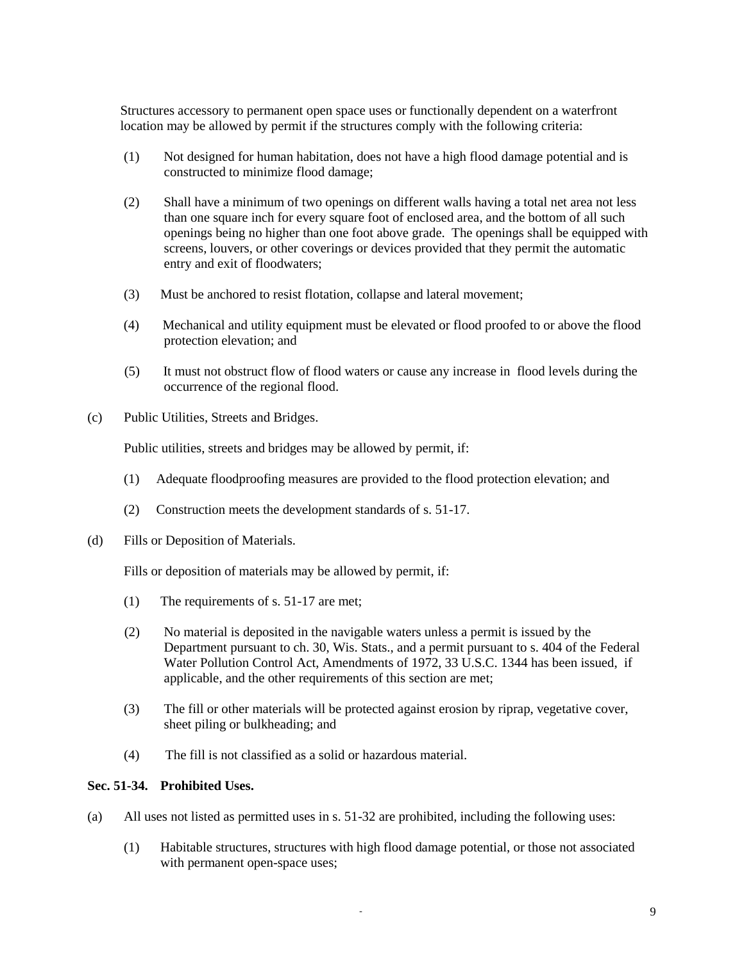Structures accessory to permanent open space uses or functionally dependent on a waterfront location may be allowed by permit if the structures comply with the following criteria:

- (1) Not designed for human habitation, does not have a high flood damage potential and is constructed to minimize flood damage;
- (2) Shall have a minimum of two openings on different walls having a total net area not less than one square inch for every square foot of enclosed area, and the bottom of all such openings being no higher than one foot above grade. The openings shall be equipped with screens, louvers, or other coverings or devices provided that they permit the automatic entry and exit of floodwaters;
- (3) Must be anchored to resist flotation, collapse and lateral movement;
- (4) Mechanical and utility equipment must be elevated or flood proofed to or above the flood protection elevation; and
- (5) It must not obstruct flow of flood waters or cause any increase in flood levels during the occurrence of the regional flood.
- (c) Public Utilities, Streets and Bridges.

Public utilities, streets and bridges may be allowed by permit, if:

- (1) Adequate floodproofing measures are provided to the flood protection elevation; and
- (2) Construction meets the development standards of s. 51-17.
- (d) Fills or Deposition of Materials.

Fills or deposition of materials may be allowed by permit, if:

- (1) The requirements of s. 51-17 are met;
- (2) No material is deposited in the navigable waters unless a permit is issued by the Department pursuant to ch. 30, Wis. Stats., and a permit pursuant to s. 404 of the Federal Water Pollution Control Act, Amendments of 1972, 33 U.S.C. 1344 has been issued, if applicable, and the other requirements of this section are met;
- (3) The fill or other materials will be protected against erosion by riprap, vegetative cover, sheet piling or bulkheading; and
- (4) The fill is not classified as a solid or hazardous material.

#### **Sec. 51-34. Prohibited Uses.**

- (a) All uses not listed as permitted uses in s. 51-32 are prohibited, including the following uses:
	- (1) Habitable structures, structures with high flood damage potential, or those not associated with permanent open-space uses;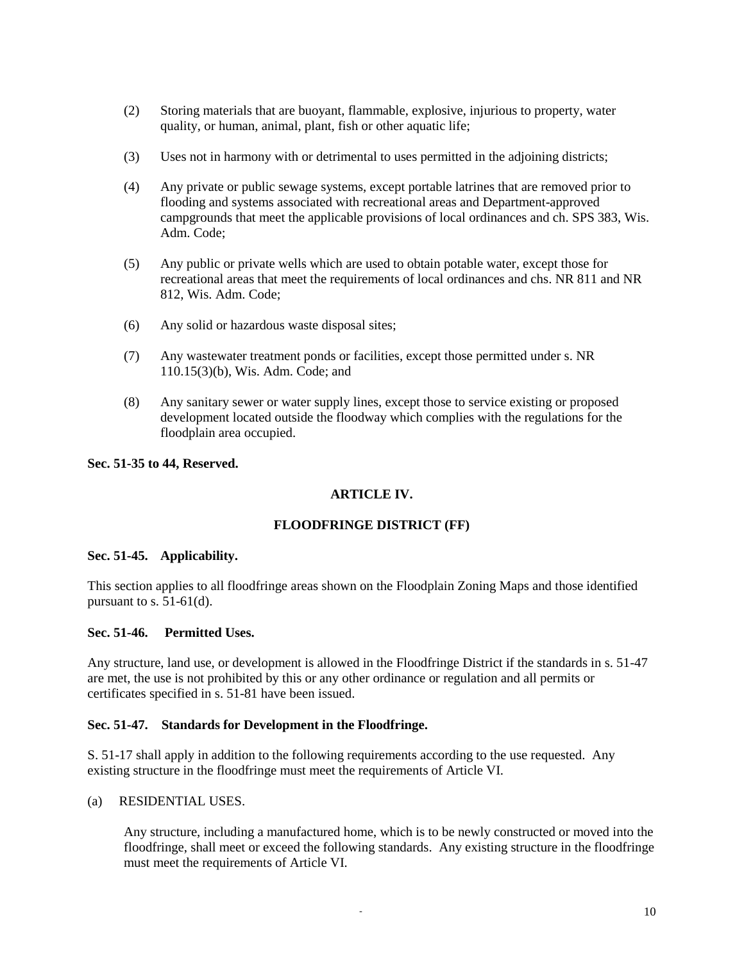- (2) Storing materials that are buoyant, flammable, explosive, injurious to property, water quality, or human, animal, plant, fish or other aquatic life;
- (3) Uses not in harmony with or detrimental to uses permitted in the adjoining districts;
- (4) Any private or public sewage systems, except portable latrines that are removed prior to flooding and systems associated with recreational areas and Department-approved campgrounds that meet the applicable provisions of local ordinances and ch. SPS 383, Wis. Adm. Code;
- (5) Any public or private wells which are used to obtain potable water, except those for recreational areas that meet the requirements of local ordinances and chs. NR 811 and NR 812, Wis. Adm. Code;
- (6) Any solid or hazardous waste disposal sites;
- (7) Any wastewater treatment ponds or facilities, except those permitted under s. NR 110.15(3)(b), Wis. Adm. Code; and
- (8) Any sanitary sewer or water supply lines, except those to service existing or proposed development located outside the floodway which complies with the regulations for the floodplain area occupied.

### **Sec. 51-35 to 44, Reserved.**

# **ARTICLE IV.**

## **FLOODFRINGE DISTRICT (FF)**

#### **Sec. 51-45. Applicability.**

This section applies to all floodfringe areas shown on the Floodplain Zoning Maps and those identified pursuant to s.  $51-61$ (d).

#### **Sec. 51-46. Permitted Uses.**

Any structure, land use, or development is allowed in the Floodfringe District if the standards in s. 51-47 are met, the use is not prohibited by this or any other ordinance or regulation and all permits or certificates specified in s. 51-81 have been issued.

#### **Sec. 51-47. Standards for Development in the Floodfringe.**

S. 51-17 shall apply in addition to the following requirements according to the use requested. Any existing structure in the floodfringe must meet the requirements of Article VI.

### (a) RESIDENTIAL USES.

Any structure, including a manufactured home, which is to be newly constructed or moved into the floodfringe, shall meet or exceed the following standards. Any existing structure in the floodfringe must meet the requirements of Article VI.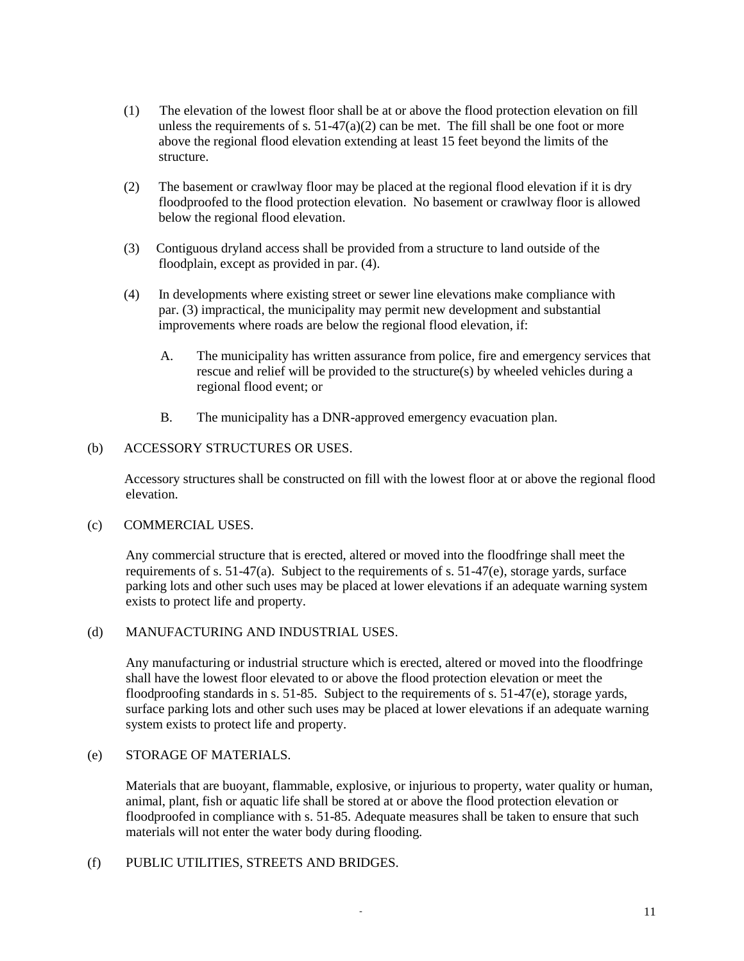- (1) The elevation of the lowest floor shall be at or above the flood protection elevation on fill unless the requirements of s.  $51-47(a)(2)$  can be met. The fill shall be one foot or more above the regional flood elevation extending at least 15 feet beyond the limits of the structure.
- (2) The basement or crawlway floor may be placed at the regional flood elevation if it is dry floodproofed to the flood protection elevation. No basement or crawlway floor is allowed below the regional flood elevation.
- (3) Contiguous dryland access shall be provided from a structure to land outside of the floodplain, except as provided in par. (4).
- (4) In developments where existing street or sewer line elevations make compliance with par. (3) impractical, the municipality may permit new development and substantial improvements where roads are below the regional flood elevation, if:
	- A. The municipality has written assurance from police, fire and emergency services that rescue and relief will be provided to the structure(s) by wheeled vehicles during a regional flood event; or
	- B. The municipality has a DNR-approved emergency evacuation plan.

## (b) ACCESSORY STRUCTURES OR USES.

 Accessory structures shall be constructed on fill with the lowest floor at or above the regional flood elevation.

#### (c) COMMERCIAL USES.

Any commercial structure that is erected, altered or moved into the floodfringe shall meet the requirements of s. 51-47(a). Subject to the requirements of s. 51-47(e), storage yards, surface parking lots and other such uses may be placed at lower elevations if an adequate warning system exists to protect life and property.

### (d) MANUFACTURING AND INDUSTRIAL USES.

Any manufacturing or industrial structure which is erected, altered or moved into the floodfringe shall have the lowest floor elevated to or above the flood protection elevation or meet the floodproofing standards in s. 51-85. Subject to the requirements of s. 51-47(e), storage yards, surface parking lots and other such uses may be placed at lower elevations if an adequate warning system exists to protect life and property.

### (e) STORAGE OF MATERIALS.

Materials that are buoyant, flammable, explosive, or injurious to property, water quality or human, animal, plant, fish or aquatic life shall be stored at or above the flood protection elevation or floodproofed in compliance with s. 51-85. Adequate measures shall be taken to ensure that such materials will not enter the water body during flooding.

### (f) PUBLIC UTILITIES, STREETS AND BRIDGES.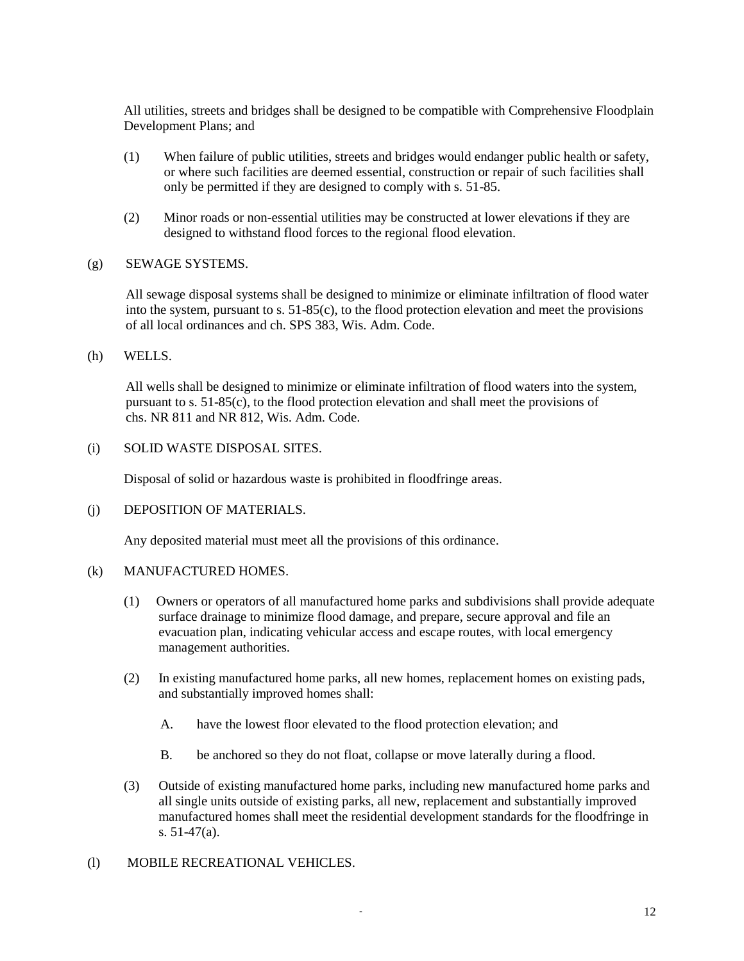All utilities, streets and bridges shall be designed to be compatible with Comprehensive Floodplain Development Plans; and

- (1) When failure of public utilities, streets and bridges would endanger public health or safety, or where such facilities are deemed essential, construction or repair of such facilities shall only be permitted if they are designed to comply with s. 51-85.
- (2) Minor roads or non-essential utilities may be constructed at lower elevations if they are designed to withstand flood forces to the regional flood elevation.
- (g) SEWAGE SYSTEMS.

All sewage disposal systems shall be designed to minimize or eliminate infiltration of flood water into the system, pursuant to s. 51-85(c), to the flood protection elevation and meet the provisions of all local ordinances and ch. SPS 383, Wis. Adm. Code.

(h) WELLS.

All wells shall be designed to minimize or eliminate infiltration of flood waters into the system, pursuant to s. 51-85(c), to the flood protection elevation and shall meet the provisions of chs. NR 811 and NR 812, Wis. Adm. Code.

(i) SOLID WASTE DISPOSAL SITES.

Disposal of solid or hazardous waste is prohibited in floodfringe areas.

(j) DEPOSITION OF MATERIALS.

Any deposited material must meet all the provisions of this ordinance.

#### (k) MANUFACTURED HOMES.

- (1) Owners or operators of all manufactured home parks and subdivisions shall provide adequate surface drainage to minimize flood damage, and prepare, secure approval and file an evacuation plan, indicating vehicular access and escape routes, with local emergency management authorities.
- (2) In existing manufactured home parks, all new homes, replacement homes on existing pads, and substantially improved homes shall:
	- A. have the lowest floor elevated to the flood protection elevation; and
	- B. be anchored so they do not float, collapse or move laterally during a flood.
- (3) Outside of existing manufactured home parks, including new manufactured home parks and all single units outside of existing parks, all new, replacement and substantially improved manufactured homes shall meet the residential development standards for the floodfringe in s. 51-47(a).
- (l) MOBILE RECREATIONAL VEHICLES.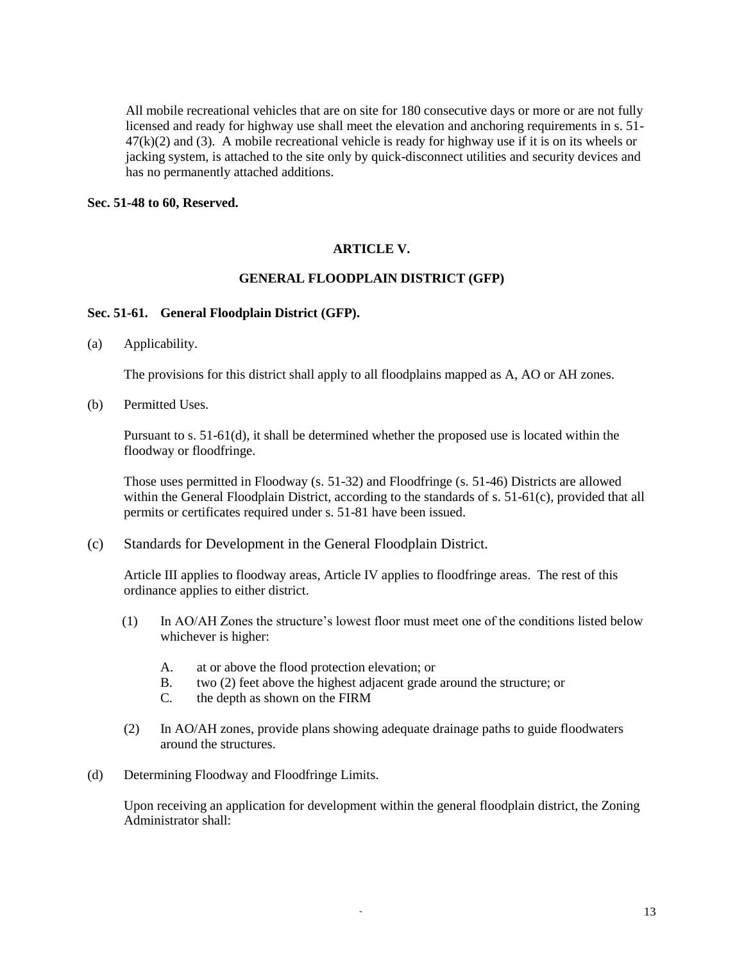All mobile recreational vehicles that are on site for 180 consecutive days or more or are not fully licensed and ready for highway use shall meet the elevation and anchoring requirements in s. 51-  $47(k)(2)$  and (3). A mobile recreational vehicle is ready for highway use if it is on its wheels or jacking system, is attached to the site only by quick-disconnect utilities and security devices and has no permanently attached additions.

### **Sec. 51-48 to 60, Reserved.**

## **ARTICLE V.**

### **GENERAL FLOODPLAIN DISTRICT (GFP)**

### **Sec. 51-61. General Floodplain District (GFP).**

(a) Applicability.

The provisions for this district shall apply to all floodplains mapped as A, AO or AH zones.

(b) Permitted Uses.

Pursuant to s. 51-61(d), it shall be determined whether the proposed use is located within the floodway or floodfringe.

Those uses permitted in Floodway (s. 51-32) and Floodfringe (s. 51-46) Districts are allowed within the General Floodplain District, according to the standards of s. 51-61(c), provided that all permits or certificates required under s. 51-81 have been issued.

(c) Standards for Development in the General Floodplain District.

Article III applies to floodway areas, Article IV applies to floodfringe areas. The rest of this ordinance applies to either district.

- (1) In AO/AH Zones the structure's lowest floor must meet one of the conditions listed below whichever is higher:
	- A. at or above the flood protection elevation; or
	- B. two (2) feet above the highest adjacent grade around the structure; or
	- C. the depth as shown on the FIRM
- (2) In AO/AH zones, provide plans showing adequate drainage paths to guide floodwaters around the structures.
- (d) Determining Floodway and Floodfringe Limits.

Upon receiving an application for development within the general floodplain district, the Zoning Administrator shall: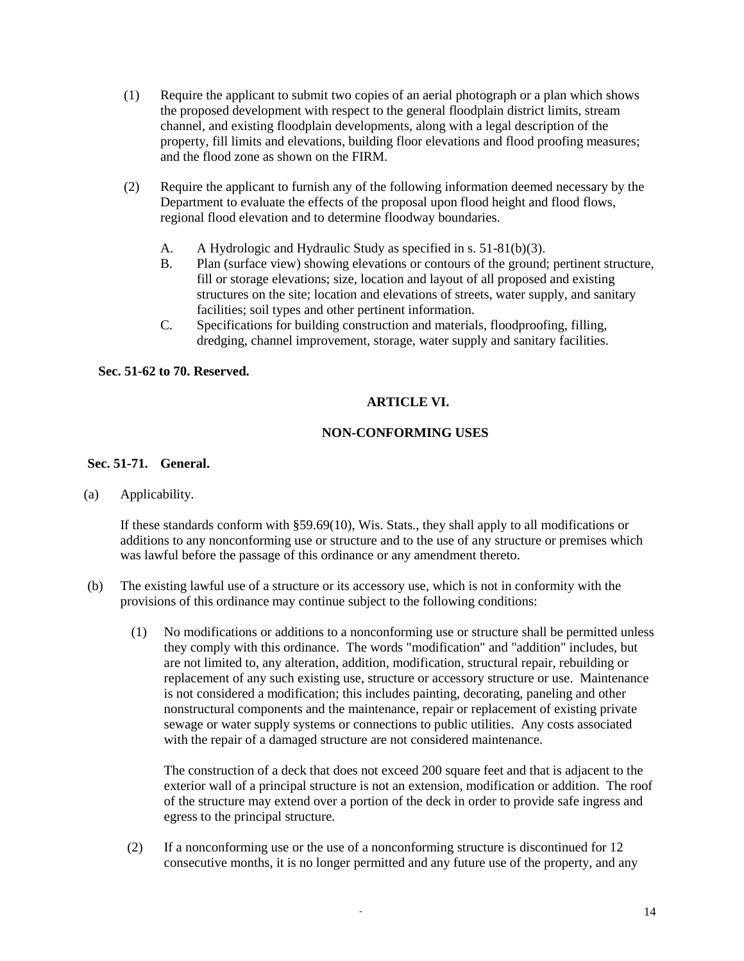- (1) Require the applicant to submit two copies of an aerial photograph or a plan which shows the proposed development with respect to the general floodplain district limits, stream channel, and existing floodplain developments, along with a legal description of the property, fill limits and elevations, building floor elevations and flood proofing measures; and the flood zone as shown on the FIRM.
- (2) Require the applicant to furnish any of the following information deemed necessary by the Department to evaluate the effects of the proposal upon flood height and flood flows, regional flood elevation and to determine floodway boundaries.
	- A. A Hydrologic and Hydraulic Study as specified in s. 51-81(b)(3).
	- B. Plan (surface view) showing elevations or contours of the ground; pertinent structure, fill or storage elevations; size, location and layout of all proposed and existing structures on the site; location and elevations of streets, water supply, and sanitary facilities; soil types and other pertinent information.
	- C. Specifications for building construction and materials, floodproofing, filling, dredging, channel improvement, storage, water supply and sanitary facilities.

## **Sec. 51-62 to 70. Reserved.**

# **ARTICLE VI.**

# **NON-CONFORMING USES**

# **Sec. 51-71. General.**

## (a) Applicability.

If these standards conform with §59.69(10), Wis. Stats., they shall apply to all modifications or additions to any nonconforming use or structure and to the use of any structure or premises which was lawful before the passage of this ordinance or any amendment thereto.

- (b) The existing lawful use of a structure or its accessory use, which is not in conformity with the provisions of this ordinance may continue subject to the following conditions:
	- (1) No modifications or additions to a nonconforming use or structure shall be permitted unless they comply with this ordinance. The words "modification" and "addition" includes, but are not limited to, any alteration, addition, modification, structural repair, rebuilding or replacement of any such existing use, structure or accessory structure or use. Maintenance is not considered a modification; this includes painting, decorating, paneling and other nonstructural components and the maintenance, repair or replacement of existing private sewage or water supply systems or connections to public utilities. Any costs associated with the repair of a damaged structure are not considered maintenance.

The construction of a deck that does not exceed 200 square feet and that is adjacent to the exterior wall of a principal structure is not an extension, modification or addition. The roof of the structure may extend over a portion of the deck in order to provide safe ingress and egress to the principal structure.

(2) If a nonconforming use or the use of a nonconforming structure is discontinued for 12 consecutive months, it is no longer permitted and any future use of the property, and any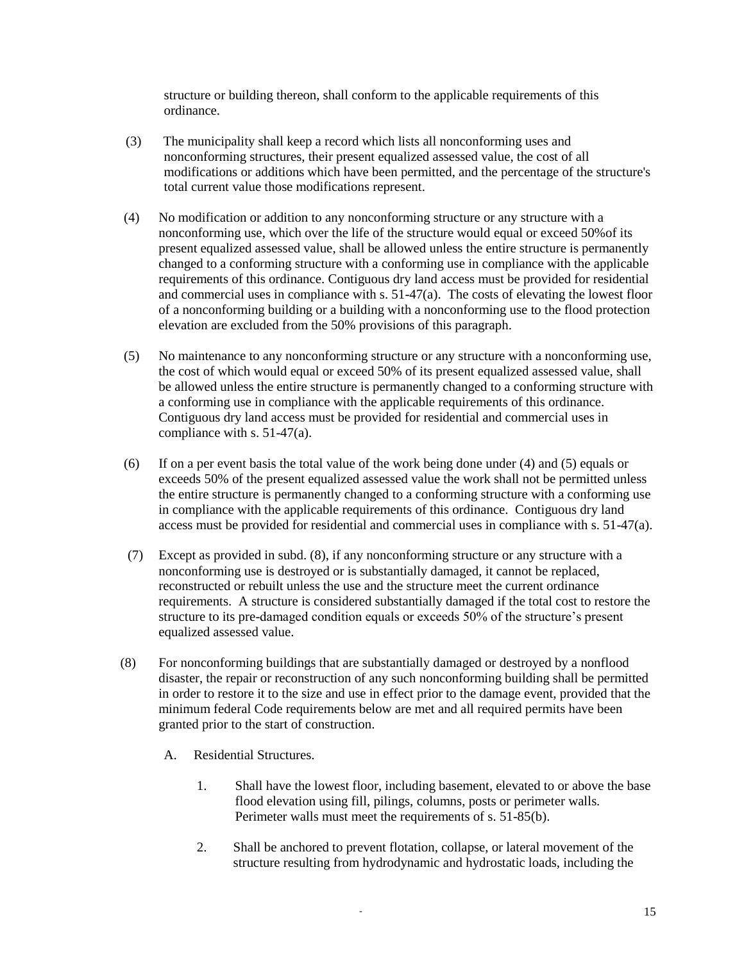structure or building thereon, shall conform to the applicable requirements of this ordinance.

- (3) The municipality shall keep a record which lists all nonconforming uses and nonconforming structures, their present equalized assessed value, the cost of all modifications or additions which have been permitted, and the percentage of the structure's total current value those modifications represent.
- (4) No modification or addition to any nonconforming structure or any structure with a nonconforming use, which over the life of the structure would equal or exceed 50%of its present equalized assessed value, shall be allowed unless the entire structure is permanently changed to a conforming structure with a conforming use in compliance with the applicable requirements of this ordinance. Contiguous dry land access must be provided for residential and commercial uses in compliance with s. 51-47(a). The costs of elevating the lowest floor of a nonconforming building or a building with a nonconforming use to the flood protection elevation are excluded from the 50% provisions of this paragraph.
- (5) No maintenance to any nonconforming structure or any structure with a nonconforming use, the cost of which would equal or exceed 50% of its present equalized assessed value, shall be allowed unless the entire structure is permanently changed to a conforming structure with a conforming use in compliance with the applicable requirements of this ordinance. Contiguous dry land access must be provided for residential and commercial uses in compliance with s. 51-47(a).
- (6) If on a per event basis the total value of the work being done under (4) and (5) equals or exceeds 50% of the present equalized assessed value the work shall not be permitted unless the entire structure is permanently changed to a conforming structure with a conforming use in compliance with the applicable requirements of this ordinance. Contiguous dry land access must be provided for residential and commercial uses in compliance with s. 51-47(a).
- (7) Except as provided in subd. (8), if any nonconforming structure or any structure with a nonconforming use is destroyed or is substantially damaged, it cannot be replaced, reconstructed or rebuilt unless the use and the structure meet the current ordinance requirements. A structure is considered substantially damaged if the total cost to restore the structure to its pre-damaged condition equals or exceeds 50% of the structure's present equalized assessed value.
- (8) For nonconforming buildings that are substantially damaged or destroyed by a nonflood disaster, the repair or reconstruction of any such nonconforming building shall be permitted in order to restore it to the size and use in effect prior to the damage event, provided that the minimum federal Code requirements below are met and all required permits have been granted prior to the start of construction.
	- A. Residential Structures.
		- 1. Shall have the lowest floor, including basement, elevated to or above the base flood elevation using fill, pilings, columns, posts or perimeter walls. Perimeter walls must meet the requirements of s. 51-85(b).
		- 2. Shall be anchored to prevent flotation, collapse, or lateral movement of the structure resulting from hydrodynamic and hydrostatic loads, including the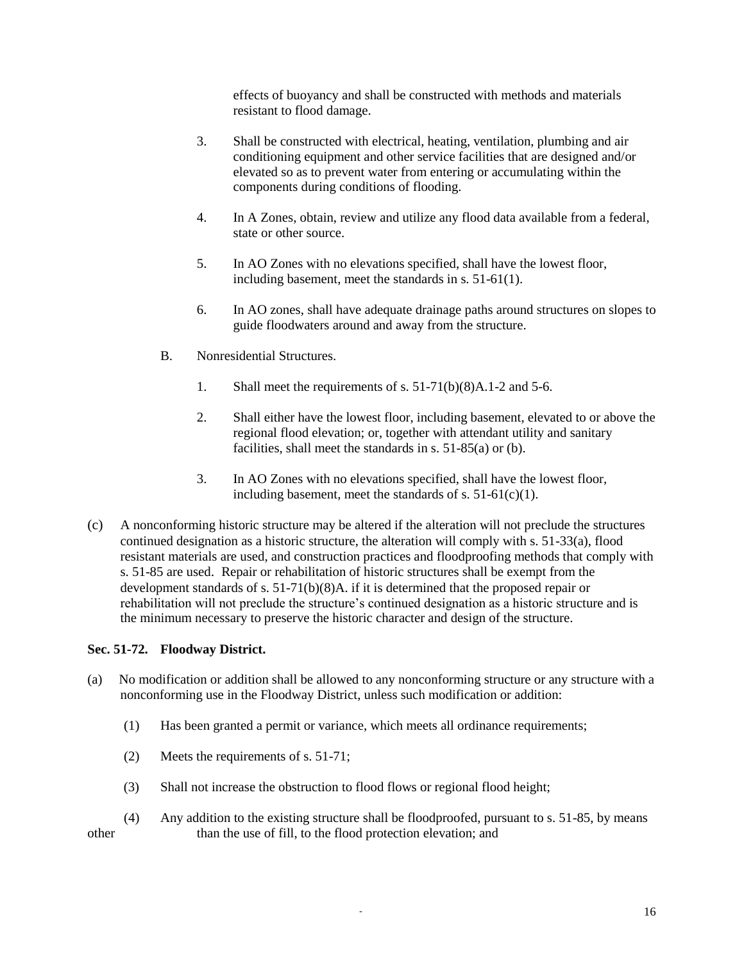effects of buoyancy and shall be constructed with methods and materials resistant to flood damage.

- 3. Shall be constructed with electrical, heating, ventilation, plumbing and air conditioning equipment and other service facilities that are designed and/or elevated so as to prevent water from entering or accumulating within the components during conditions of flooding.
- 4. In A Zones, obtain, review and utilize any flood data available from a federal, state or other source.
- 5. In AO Zones with no elevations specified, shall have the lowest floor, including basement, meet the standards in s. 51-61(1).
- 6. In AO zones, shall have adequate drainage paths around structures on slopes to guide floodwaters around and away from the structure.
- B. Nonresidential Structures.
	- 1. Shall meet the requirements of s. 51-71(b)(8)A.1-2 and 5-6.
	- 2. Shall either have the lowest floor, including basement, elevated to or above the regional flood elevation; or, together with attendant utility and sanitary facilities, shall meet the standards in s. 51-85(a) or (b).
	- 3. In AO Zones with no elevations specified, shall have the lowest floor, including basement, meet the standards of s.  $51-61(c)(1)$ .
- (c) A nonconforming historic structure may be altered if the alteration will not preclude the structures continued designation as a historic structure, the alteration will comply with s. 51-33(a), flood resistant materials are used, and construction practices and floodproofing methods that comply with s. 51-85 are used. Repair or rehabilitation of historic structures shall be exempt from the development standards of s. 51-71(b)(8)A. if it is determined that the proposed repair or rehabilitation will not preclude the structure's continued designation as a historic structure and is the minimum necessary to preserve the historic character and design of the structure.

## **Sec. 51-72. Floodway District.**

- (a) No modification or addition shall be allowed to any nonconforming structure or any structure with a nonconforming use in the Floodway District, unless such modification or addition:
	- (1) Has been granted a permit or variance, which meets all ordinance requirements;
	- (2) Meets the requirements of s. 51-71;
	- (3) Shall not increase the obstruction to flood flows or regional flood height;
- (4) Any addition to the existing structure shall be floodproofed, pursuant to s. 51-85, by means other than the use of fill, to the flood protection elevation; and

- 16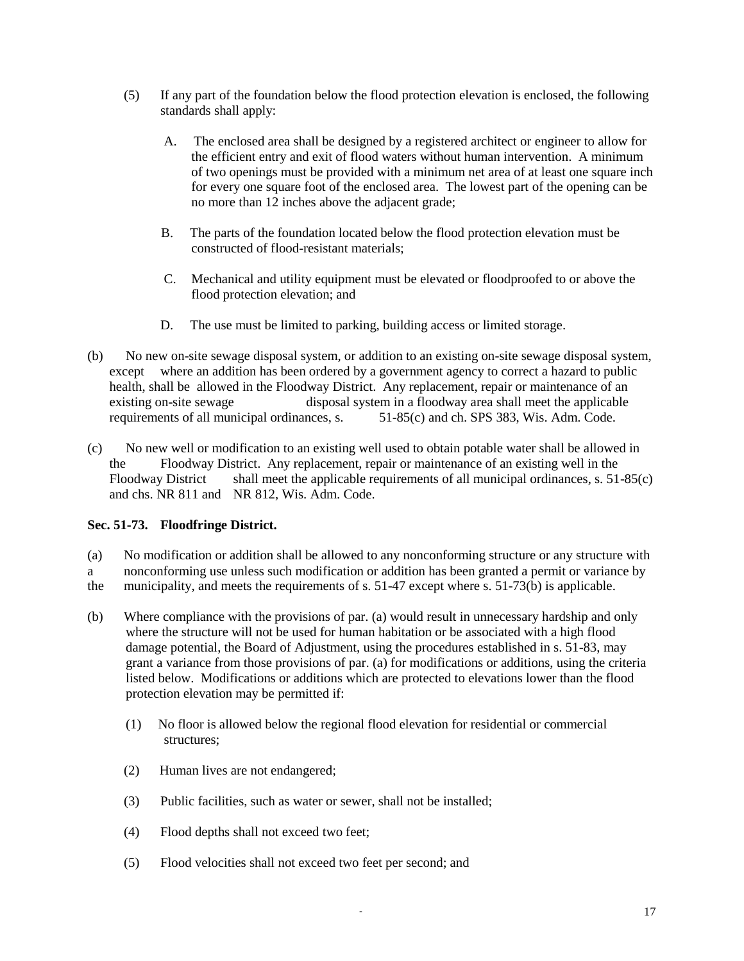- (5) If any part of the foundation below the flood protection elevation is enclosed, the following standards shall apply:
	- A. The enclosed area shall be designed by a registered architect or engineer to allow for the efficient entry and exit of flood waters without human intervention. A minimum of two openings must be provided with a minimum net area of at least one square inch for every one square foot of the enclosed area. The lowest part of the opening can be no more than 12 inches above the adjacent grade;
	- B. The parts of the foundation located below the flood protection elevation must be constructed of flood-resistant materials;
	- C. Mechanical and utility equipment must be elevated or floodproofed to or above the flood protection elevation; and
	- D. The use must be limited to parking, building access or limited storage.
- (b) No new on-site sewage disposal system, or addition to an existing on-site sewage disposal system, except where an addition has been ordered by a government agency to correct a hazard to public health, shall be allowed in the Floodway District. Any replacement, repair or maintenance of an existing on-site sewage disposal system in a floodway area shall meet the applicable requirements of all municipal ordinances, s.  $51-85(c)$  and ch. SPS 383, Wis. Adm. Code.
- (c) No new well or modification to an existing well used to obtain potable water shall be allowed in the Floodway District. Any replacement, repair or maintenance of an existing well in the Floodway District shall meet the applicable requirements of all municipal ordinances, s. 51-85(c) and chs. NR 811 and NR 812, Wis. Adm. Code.

# **Sec. 51-73. Floodfringe District.**

(a) No modification or addition shall be allowed to any nonconforming structure or any structure with

a nonconforming use unless such modification or addition has been granted a permit or variance by

the municipality, and meets the requirements of s. 51-47 except where s. 51-73(b) is applicable.

- (b) Where compliance with the provisions of par. (a) would result in unnecessary hardship and only where the structure will not be used for human habitation or be associated with a high flood damage potential, the Board of Adjustment, using the procedures established in s. 51-83, may grant a variance from those provisions of par. (a) for modifications or additions, using the criteria listed below. Modifications or additions which are protected to elevations lower than the flood protection elevation may be permitted if:
	- (1) No floor is allowed below the regional flood elevation for residential or commercial structures;
	- (2) Human lives are not endangered;
	- (3) Public facilities, such as water or sewer, shall not be installed;
	- (4) Flood depths shall not exceed two feet;
	- (5) Flood velocities shall not exceed two feet per second; and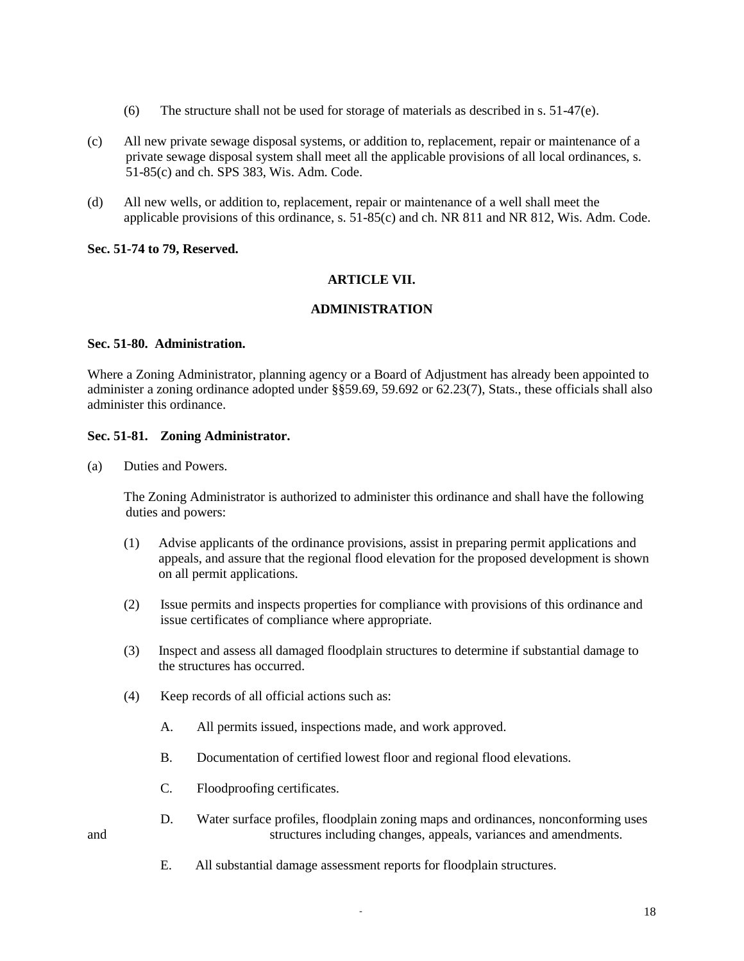- (6) The structure shall not be used for storage of materials as described in s.  $51-47$ (e).
- (c) All new private sewage disposal systems, or addition to, replacement, repair or maintenance of a private sewage disposal system shall meet all the applicable provisions of all local ordinances, s. 51-85(c) and ch. SPS 383, Wis. Adm. Code.
- (d) All new wells, or addition to, replacement, repair or maintenance of a well shall meet the applicable provisions of this ordinance, s. 51-85(c) and ch. NR 811 and NR 812, Wis. Adm. Code.

### **Sec. 51-74 to 79, Reserved.**

## **ARTICLE VII.**

### **ADMINISTRATION**

#### **Sec. 51-80. Administration.**

Where a Zoning Administrator, planning agency or a Board of Adjustment has already been appointed to administer a zoning ordinance adopted under §§59.69, 59.692 or 62.23(7), Stats., these officials shall also administer this ordinance.

#### **Sec. 51-81. Zoning Administrator.**

(a) Duties and Powers.

The Zoning Administrator is authorized to administer this ordinance and shall have the following duties and powers:

- (1) Advise applicants of the ordinance provisions, assist in preparing permit applications and appeals, and assure that the regional flood elevation for the proposed development is shown on all permit applications.
- (2) Issue permits and inspects properties for compliance with provisions of this ordinance and issue certificates of compliance where appropriate.
- (3) Inspect and assess all damaged floodplain structures to determine if substantial damage to the structures has occurred.
- (4) Keep records of all official actions such as:
	- A. All permits issued, inspections made, and work approved.
	- B. Documentation of certified lowest floor and regional flood elevations.
	- C. Floodproofing certificates.
- D. Water surface profiles, floodplain zoning maps and ordinances, nonconforming uses and structures including changes, appeals, variances and amendments.
- 
- E. All substantial damage assessment reports for floodplain structures.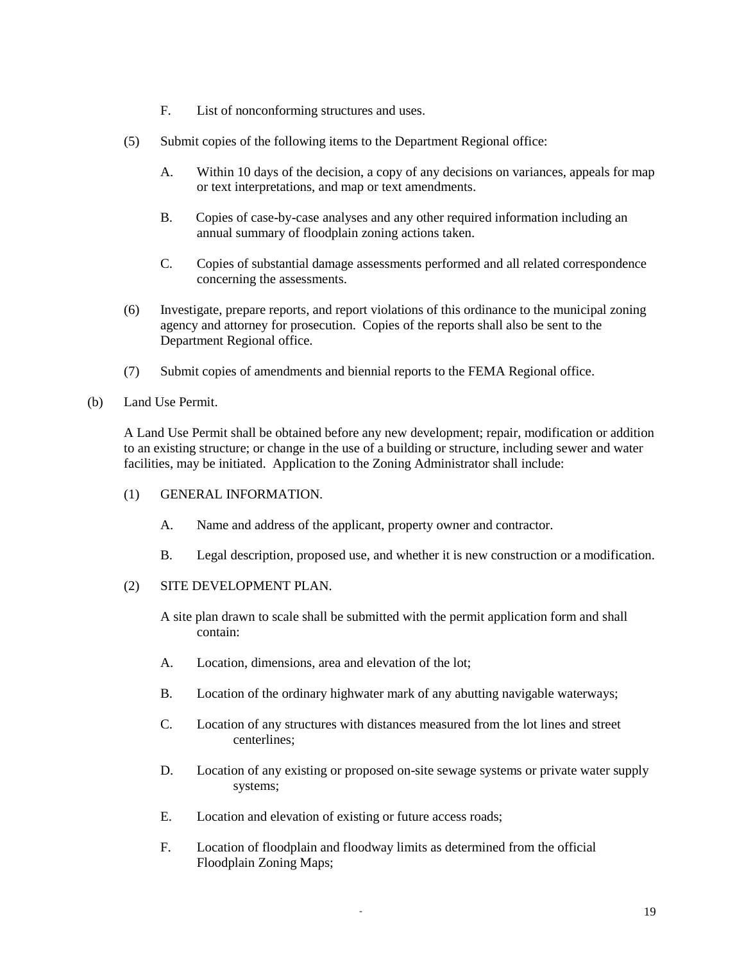- F. List of nonconforming structures and uses.
- (5) Submit copies of the following items to the Department Regional office:
	- A. Within 10 days of the decision, a copy of any decisions on variances, appeals for map or text interpretations, and map or text amendments.
	- B. Copies of case-by-case analyses and any other required information including an annual summary of floodplain zoning actions taken.
	- C. Copies of substantial damage assessments performed and all related correspondence concerning the assessments.
- (6) Investigate, prepare reports, and report violations of this ordinance to the municipal zoning agency and attorney for prosecution. Copies of the reports shall also be sent to the Department Regional office.
- (7) Submit copies of amendments and biennial reports to the FEMA Regional office.
- (b) Land Use Permit.

A Land Use Permit shall be obtained before any new development; repair, modification or addition to an existing structure; or change in the use of a building or structure, including sewer and water facilities, may be initiated. Application to the Zoning Administrator shall include:

- (1) GENERAL INFORMATION.
	- A. Name and address of the applicant, property owner and contractor.
	- B. Legal description, proposed use, and whether it is new construction or a modification.
- (2) SITE DEVELOPMENT PLAN.

A site plan drawn to scale shall be submitted with the permit application form and shall contain:

- A. Location, dimensions, area and elevation of the lot;
- B. Location of the ordinary highwater mark of any abutting navigable waterways;
- C. Location of any structures with distances measured from the lot lines and street centerlines;
- D. Location of any existing or proposed on-site sewage systems or private water supply systems;
- E. Location and elevation of existing or future access roads;
- F. Location of floodplain and floodway limits as determined from the official Floodplain Zoning Maps;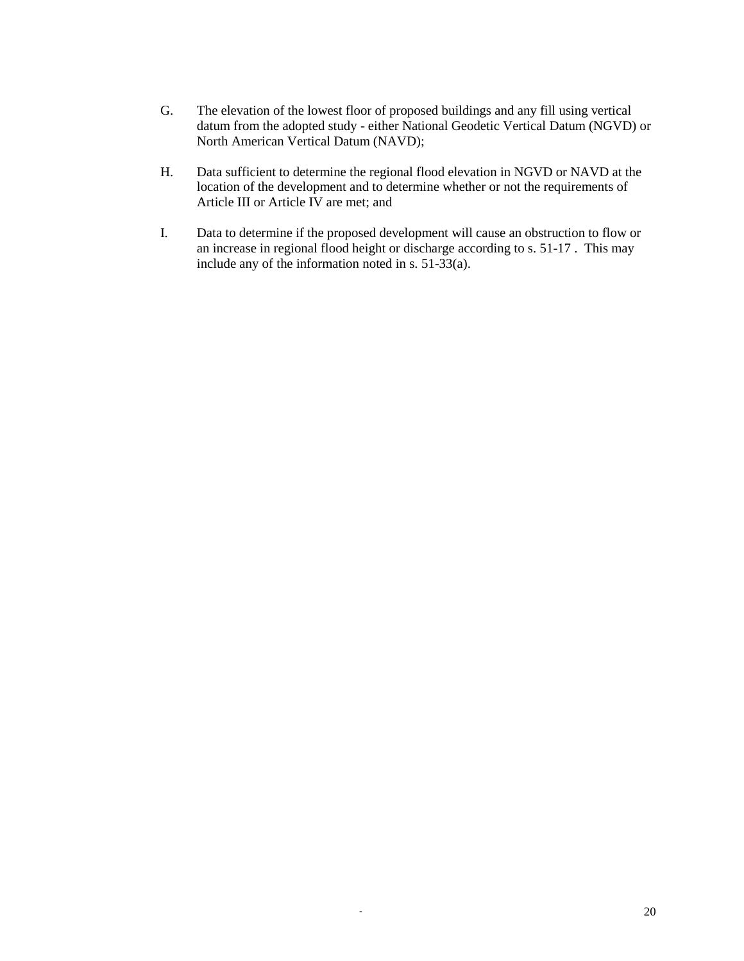- G. The elevation of the lowest floor of proposed buildings and any fill using vertical datum from the adopted study - either National Geodetic Vertical Datum (NGVD) or North American Vertical Datum (NAVD);
- H. Data sufficient to determine the regional flood elevation in NGVD or NAVD at the location of the development and to determine whether or not the requirements of Article III or Article IV are met; and
- I. Data to determine if the proposed development will cause an obstruction to flow or an increase in regional flood height or discharge according to s. 51-17 . This may include any of the information noted in s. 51-33(a).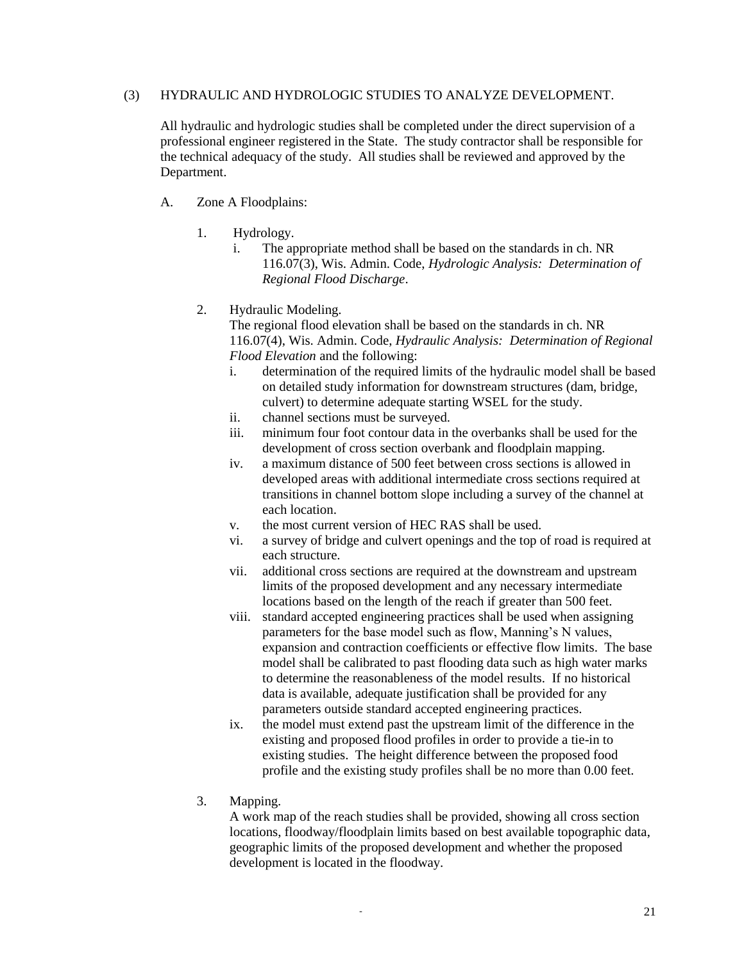### (3) HYDRAULIC AND HYDROLOGIC STUDIES TO ANALYZE DEVELOPMENT.

All hydraulic and hydrologic studies shall be completed under the direct supervision of a professional engineer registered in the State. The study contractor shall be responsible for the technical adequacy of the study. All studies shall be reviewed and approved by the Department.

- A. Zone A Floodplains:
	- 1. Hydrology.
		- i. The appropriate method shall be based on the standards in ch. NR 116.07(3), Wis. Admin. Code, *Hydrologic Analysis: Determination of Regional Flood Discharge*.
	- 2. Hydraulic Modeling.

The regional flood elevation shall be based on the standards in ch. NR 116.07(4), Wis. Admin. Code, *Hydraulic Analysis: Determination of Regional Flood Elevation* and the following:

- i. determination of the required limits of the hydraulic model shall be based on detailed study information for downstream structures (dam, bridge, culvert) to determine adequate starting WSEL for the study.
- ii. channel sections must be surveyed.
- iii. minimum four foot contour data in the overbanks shall be used for the development of cross section overbank and floodplain mapping.
- iv. a maximum distance of 500 feet between cross sections is allowed in developed areas with additional intermediate cross sections required at transitions in channel bottom slope including a survey of the channel at each location.
- v. the most current version of HEC RAS shall be used.
- vi. a survey of bridge and culvert openings and the top of road is required at each structure.
- vii. additional cross sections are required at the downstream and upstream limits of the proposed development and any necessary intermediate locations based on the length of the reach if greater than 500 feet.
- viii. standard accepted engineering practices shall be used when assigning parameters for the base model such as flow, Manning's N values, expansion and contraction coefficients or effective flow limits. The base model shall be calibrated to past flooding data such as high water marks to determine the reasonableness of the model results. If no historical data is available, adequate justification shall be provided for any parameters outside standard accepted engineering practices.
- ix. the model must extend past the upstream limit of the difference in the existing and proposed flood profiles in order to provide a tie-in to existing studies. The height difference between the proposed food profile and the existing study profiles shall be no more than 0.00 feet.
- 3. Mapping.

A work map of the reach studies shall be provided, showing all cross section locations, floodway/floodplain limits based on best available topographic data, geographic limits of the proposed development and whether the proposed development is located in the floodway.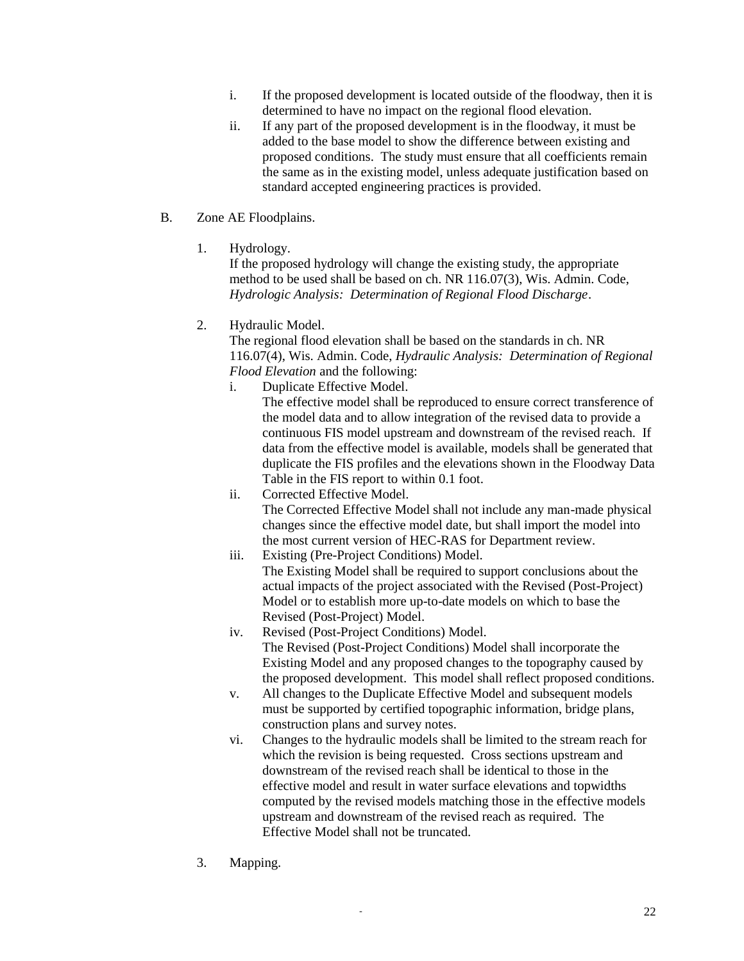- i. If the proposed development is located outside of the floodway, then it is determined to have no impact on the regional flood elevation.
- ii. If any part of the proposed development is in the floodway, it must be added to the base model to show the difference between existing and proposed conditions. The study must ensure that all coefficients remain the same as in the existing model, unless adequate justification based on standard accepted engineering practices is provided.
- B. Zone AE Floodplains.
	- 1. Hydrology.

If the proposed hydrology will change the existing study, the appropriate method to be used shall be based on ch. NR 116.07(3), Wis. Admin. Code, *Hydrologic Analysis: Determination of Regional Flood Discharge*.

2. Hydraulic Model.

The regional flood elevation shall be based on the standards in ch. NR 116.07(4), Wis. Admin. Code, *Hydraulic Analysis: Determination of Regional Flood Elevation* and the following:

i. Duplicate Effective Model.

The effective model shall be reproduced to ensure correct transference of the model data and to allow integration of the revised data to provide a continuous FIS model upstream and downstream of the revised reach. If data from the effective model is available, models shall be generated that duplicate the FIS profiles and the elevations shown in the Floodway Data Table in the FIS report to within 0.1 foot.

- ii. Corrected Effective Model. The Corrected Effective Model shall not include any man-made physical changes since the effective model date, but shall import the model into the most current version of HEC-RAS for Department review.
- iii. Existing (Pre-Project Conditions) Model. The Existing Model shall be required to support conclusions about the actual impacts of the project associated with the Revised (Post-Project) Model or to establish more up-to-date models on which to base the Revised (Post-Project) Model.
- iv. Revised (Post-Project Conditions) Model. The Revised (Post-Project Conditions) Model shall incorporate the Existing Model and any proposed changes to the topography caused by the proposed development. This model shall reflect proposed conditions.
- v. All changes to the Duplicate Effective Model and subsequent models must be supported by certified topographic information, bridge plans, construction plans and survey notes.
- vi. Changes to the hydraulic models shall be limited to the stream reach for which the revision is being requested. Cross sections upstream and downstream of the revised reach shall be identical to those in the effective model and result in water surface elevations and topwidths computed by the revised models matching those in the effective models upstream and downstream of the revised reach as required. The Effective Model shall not be truncated.
- 3. Mapping.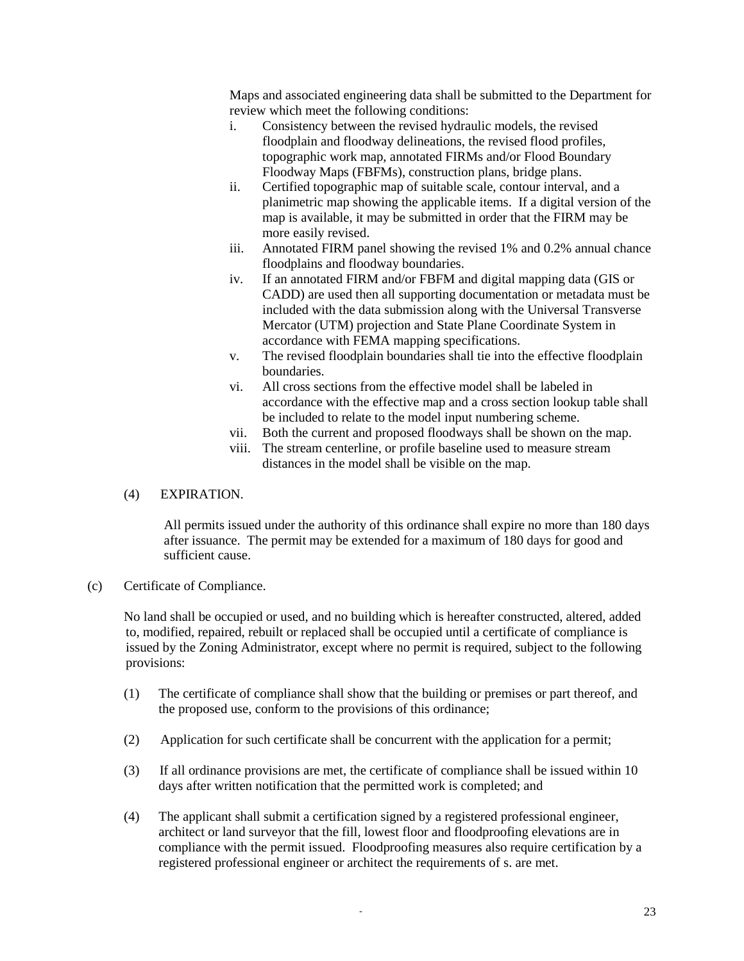Maps and associated engineering data shall be submitted to the Department for review which meet the following conditions:

- i. Consistency between the revised hydraulic models, the revised floodplain and floodway delineations, the revised flood profiles, topographic work map, annotated FIRMs and/or Flood Boundary Floodway Maps (FBFMs), construction plans, bridge plans.
- ii. Certified topographic map of suitable scale, contour interval, and a planimetric map showing the applicable items. If a digital version of the map is available, it may be submitted in order that the FIRM may be more easily revised.
- iii. Annotated FIRM panel showing the revised 1% and 0.2% annual chance floodplains and floodway boundaries.
- iv. If an annotated FIRM and/or FBFM and digital mapping data (GIS or CADD) are used then all supporting documentation or metadata must be included with the data submission along with the Universal Transverse Mercator (UTM) projection and State Plane Coordinate System in accordance with FEMA mapping specifications.
- v. The revised floodplain boundaries shall tie into the effective floodplain boundaries.
- vi. All cross sections from the effective model shall be labeled in accordance with the effective map and a cross section lookup table shall be included to relate to the model input numbering scheme.
- vii. Both the current and proposed floodways shall be shown on the map.
- viii. The stream centerline, or profile baseline used to measure stream distances in the model shall be visible on the map.

## (4) EXPIRATION.

All permits issued under the authority of this ordinance shall expire no more than 180 days after issuance. The permit may be extended for a maximum of 180 days for good and sufficient cause.

(c) Certificate of Compliance.

No land shall be occupied or used, and no building which is hereafter constructed, altered, added to, modified, repaired, rebuilt or replaced shall be occupied until a certificate of compliance is issued by the Zoning Administrator, except where no permit is required, subject to the following provisions:

- (1) The certificate of compliance shall show that the building or premises or part thereof, and the proposed use, conform to the provisions of this ordinance;
- (2) Application for such certificate shall be concurrent with the application for a permit;
- (3) If all ordinance provisions are met, the certificate of compliance shall be issued within 10 days after written notification that the permitted work is completed; and
- (4) The applicant shall submit a certification signed by a registered professional engineer, architect or land surveyor that the fill, lowest floor and floodproofing elevations are in compliance with the permit issued. Floodproofing measures also require certification by a registered professional engineer or architect the requirements of s. are met.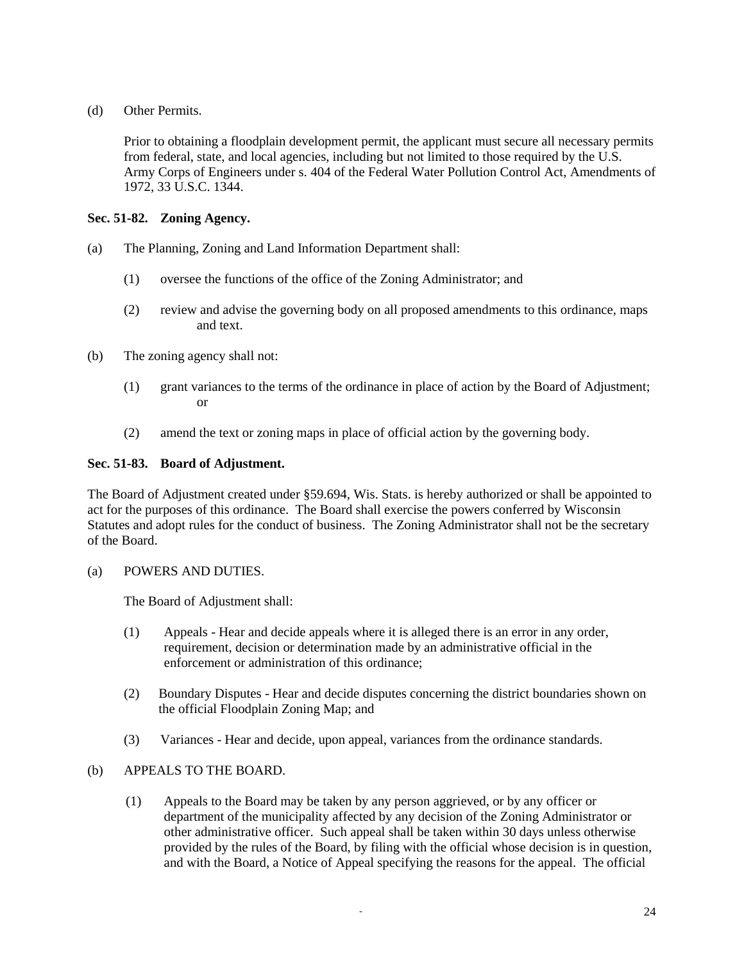(d) Other Permits.

Prior to obtaining a floodplain development permit, the applicant must secure all necessary permits from federal, state, and local agencies, including but not limited to those required by the U.S. Army Corps of Engineers under s. 404 of the Federal Water Pollution Control Act, Amendments of 1972, 33 U.S.C. 1344.

# **Sec. 51-82. Zoning Agency.**

- (a) The Planning, Zoning and Land Information Department shall:
	- (1) oversee the functions of the office of the Zoning Administrator; and
	- (2) review and advise the governing body on all proposed amendments to this ordinance, maps and text.
- (b) The zoning agency shall not:
	- (1) grant variances to the terms of the ordinance in place of action by the Board of Adjustment; or
	- (2) amend the text or zoning maps in place of official action by the governing body.

# **Sec. 51-83. Board of Adjustment.**

The Board of Adjustment created under §59.694, Wis. Stats. is hereby authorized or shall be appointed to act for the purposes of this ordinance. The Board shall exercise the powers conferred by Wisconsin Statutes and adopt rules for the conduct of business. The Zoning Administrator shall not be the secretary of the Board.

(a) POWERS AND DUTIES.

The Board of Adjustment shall:

- (1) Appeals Hear and decide appeals where it is alleged there is an error in any order, requirement, decision or determination made by an administrative official in the enforcement or administration of this ordinance;
- (2) Boundary Disputes Hear and decide disputes concerning the district boundaries shown on the official Floodplain Zoning Map; and
- (3) Variances Hear and decide, upon appeal, variances from the ordinance standards.

# (b) APPEALS TO THE BOARD.

(1) Appeals to the Board may be taken by any person aggrieved, or by any officer or department of the municipality affected by any decision of the Zoning Administrator or other administrative officer. Such appeal shall be taken within 30 days unless otherwise provided by the rules of the Board, by filing with the official whose decision is in question, and with the Board, a Notice of Appeal specifying the reasons for the appeal. The official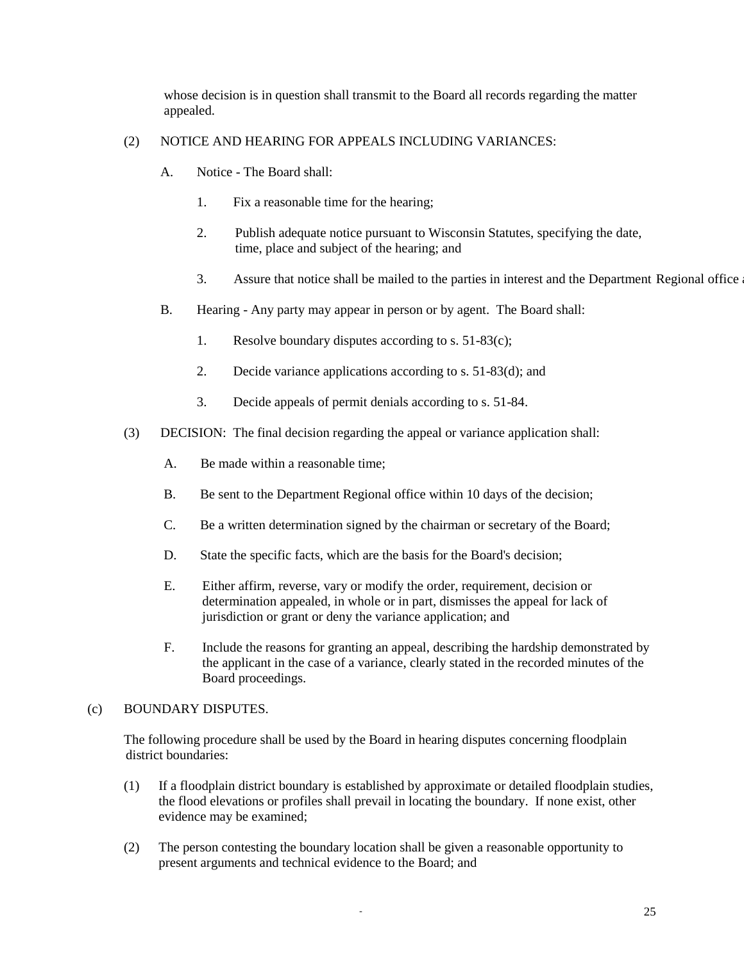whose decision is in question shall transmit to the Board all records regarding the matter appealed.

# (2) NOTICE AND HEARING FOR APPEALS INCLUDING VARIANCES:

- A. Notice The Board shall:
	- 1. Fix a reasonable time for the hearing;
	- 2. Publish adequate notice pursuant to Wisconsin Statutes, specifying the date, time, place and subject of the hearing; and
	- 3. Assure that notice shall be mailed to the parties in interest and the Department Regional office
- B. Hearing Any party may appear in person or by agent. The Board shall:
	- 1. Resolve boundary disputes according to s. 51-83(c);
	- 2. Decide variance applications according to s. 51-83(d); and
	- 3. Decide appeals of permit denials according to s. 51-84.
- (3) DECISION: The final decision regarding the appeal or variance application shall:
	- A. Be made within a reasonable time;
	- B. Be sent to the Department Regional office within 10 days of the decision;
	- C. Be a written determination signed by the chairman or secretary of the Board;
	- D. State the specific facts, which are the basis for the Board's decision;
	- E. Either affirm, reverse, vary or modify the order, requirement, decision or determination appealed, in whole or in part, dismisses the appeal for lack of jurisdiction or grant or deny the variance application; and
	- F. Include the reasons for granting an appeal, describing the hardship demonstrated by the applicant in the case of a variance, clearly stated in the recorded minutes of the Board proceedings.

# (c) BOUNDARY DISPUTES.

The following procedure shall be used by the Board in hearing disputes concerning floodplain district boundaries:

- (1) If a floodplain district boundary is established by approximate or detailed floodplain studies, the flood elevations or profiles shall prevail in locating the boundary. If none exist, other evidence may be examined;
- (2) The person contesting the boundary location shall be given a reasonable opportunity to present arguments and technical evidence to the Board; and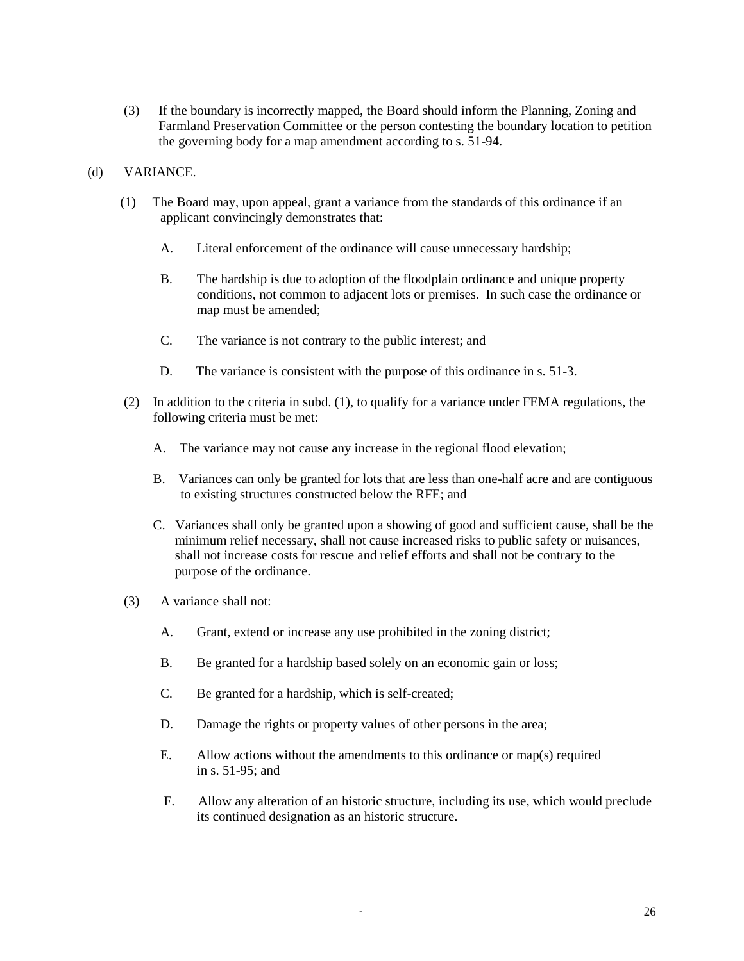(3) If the boundary is incorrectly mapped, the Board should inform the Planning, Zoning and Farmland Preservation Committee or the person contesting the boundary location to petition the governing body for a map amendment according to s. 51-94.

### (d) VARIANCE.

- (1) The Board may, upon appeal, grant a variance from the standards of this ordinance if an applicant convincingly demonstrates that:
	- A. Literal enforcement of the ordinance will cause unnecessary hardship;
	- B. The hardship is due to adoption of the floodplain ordinance and unique property conditions, not common to adjacent lots or premises. In such case the ordinance or map must be amended;
	- C. The variance is not contrary to the public interest; and
	- D. The variance is consistent with the purpose of this ordinance in s. 51-3.
- (2) In addition to the criteria in subd. (1), to qualify for a variance under FEMA regulations, the following criteria must be met:
	- A. The variance may not cause any increase in the regional flood elevation;
	- B. Variances can only be granted for lots that are less than one-half acre and are contiguous to existing structures constructed below the RFE; and
	- C. Variances shall only be granted upon a showing of good and sufficient cause, shall be the minimum relief necessary, shall not cause increased risks to public safety or nuisances, shall not increase costs for rescue and relief efforts and shall not be contrary to the purpose of the ordinance.
- (3) A variance shall not:
	- A. Grant, extend or increase any use prohibited in the zoning district;
	- B. Be granted for a hardship based solely on an economic gain or loss;
	- C. Be granted for a hardship, which is self-created;
	- D. Damage the rights or property values of other persons in the area;
	- E. Allow actions without the amendments to this ordinance or map(s) required in s. 51-95; and
	- F. Allow any alteration of an historic structure, including its use, which would preclude its continued designation as an historic structure.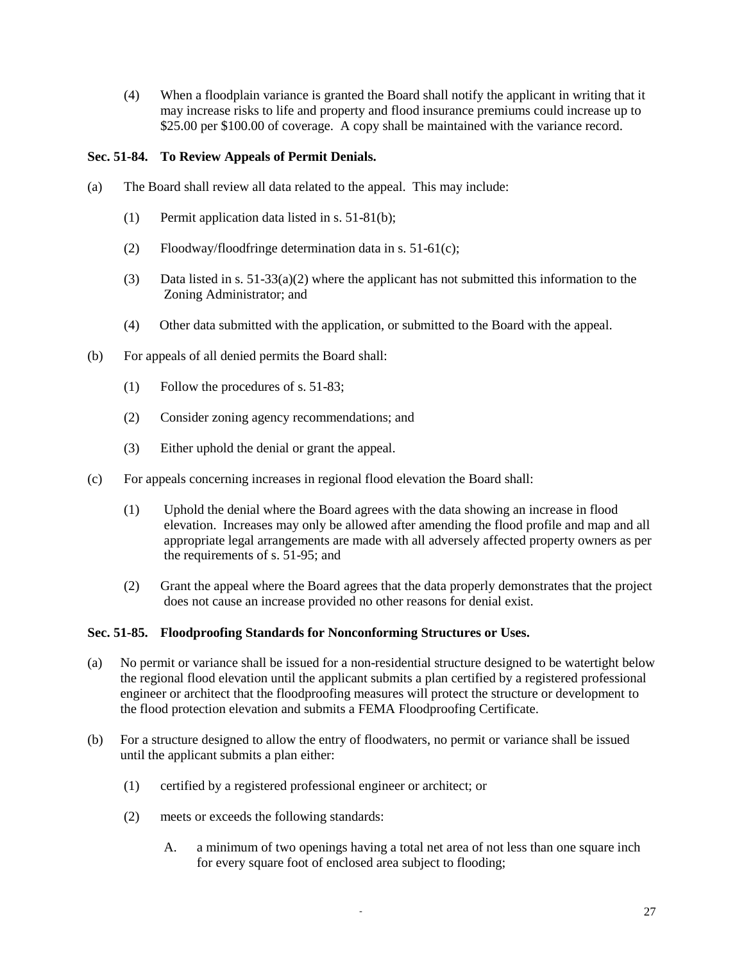(4) When a floodplain variance is granted the Board shall notify the applicant in writing that it may increase risks to life and property and flood insurance premiums could increase up to \$25.00 per \$100.00 of coverage. A copy shall be maintained with the variance record.

# **Sec. 51-84. To Review Appeals of Permit Denials.**

- (a) The Board shall review all data related to the appeal. This may include:
	- (1) Permit application data listed in s. 51-81(b);
	- (2) Floodway/floodfringe determination data in s. 51-61(c);
	- (3) Data listed in s. 51-33(a)(2) where the applicant has not submitted this information to the Zoning Administrator; and
	- (4) Other data submitted with the application, or submitted to the Board with the appeal.
- (b) For appeals of all denied permits the Board shall:
	- (1) Follow the procedures of s. 51-83;
	- (2) Consider zoning agency recommendations; and
	- (3) Either uphold the denial or grant the appeal.
- (c) For appeals concerning increases in regional flood elevation the Board shall:
	- (1) Uphold the denial where the Board agrees with the data showing an increase in flood elevation. Increases may only be allowed after amending the flood profile and map and all appropriate legal arrangements are made with all adversely affected property owners as per the requirements of s. 51-95; and
	- (2) Grant the appeal where the Board agrees that the data properly demonstrates that the project does not cause an increase provided no other reasons for denial exist.

## **Sec. 51-85. Floodproofing Standards for Nonconforming Structures or Uses.**

- (a) No permit or variance shall be issued for a non-residential structure designed to be watertight below the regional flood elevation until the applicant submits a plan certified by a registered professional engineer or architect that the floodproofing measures will protect the structure or development to the flood protection elevation and submits a FEMA Floodproofing Certificate.
- (b) For a structure designed to allow the entry of floodwaters, no permit or variance shall be issued until the applicant submits a plan either:
	- (1) certified by a registered professional engineer or architect; or
	- (2) meets or exceeds the following standards:
		- A. a minimum of two openings having a total net area of not less than one square inch for every square foot of enclosed area subject to flooding;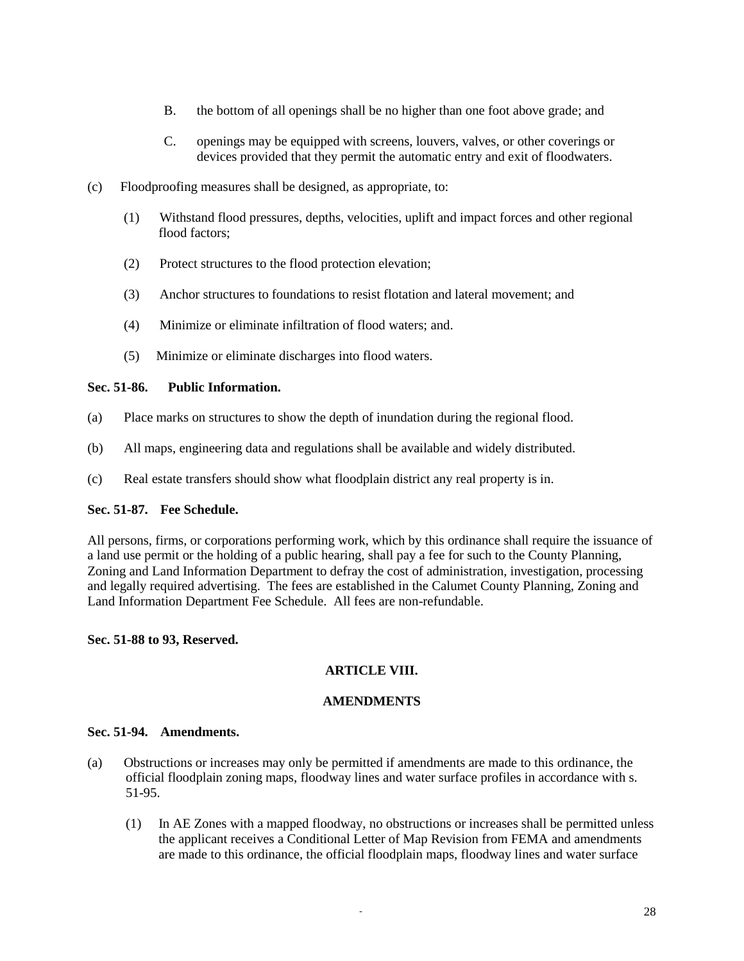- B. the bottom of all openings shall be no higher than one foot above grade; and
- C. openings may be equipped with screens, louvers, valves, or other coverings or devices provided that they permit the automatic entry and exit of floodwaters.
- (c) Floodproofing measures shall be designed, as appropriate, to:
	- (1) Withstand flood pressures, depths, velocities, uplift and impact forces and other regional flood factors;
	- (2) Protect structures to the flood protection elevation;
	- (3) Anchor structures to foundations to resist flotation and lateral movement; and
	- (4) Minimize or eliminate infiltration of flood waters; and.
	- (5) Minimize or eliminate discharges into flood waters.

## **Sec. 51-86. Public Information.**

- (a) Place marks on structures to show the depth of inundation during the regional flood.
- (b) All maps, engineering data and regulations shall be available and widely distributed.
- (c) Real estate transfers should show what floodplain district any real property is in.

## **Sec. 51-87. Fee Schedule.**

All persons, firms, or corporations performing work, which by this ordinance shall require the issuance of a land use permit or the holding of a public hearing, shall pay a fee for such to the County Planning, Zoning and Land Information Department to defray the cost of administration, investigation, processing and legally required advertising. The fees are established in the Calumet County Planning, Zoning and Land Information Department Fee Schedule. All fees are non-refundable.

## **Sec. 51-88 to 93, Reserved.**

# **ARTICLE VIII.**

# **AMENDMENTS**

## **Sec. 51-94. Amendments.**

- (a) Obstructions or increases may only be permitted if amendments are made to this ordinance, the official floodplain zoning maps, floodway lines and water surface profiles in accordance with s. 51-95.
	- (1) In AE Zones with a mapped floodway, no obstructions or increases shall be permitted unless the applicant receives a Conditional Letter of Map Revision from FEMA and amendments are made to this ordinance, the official floodplain maps, floodway lines and water surface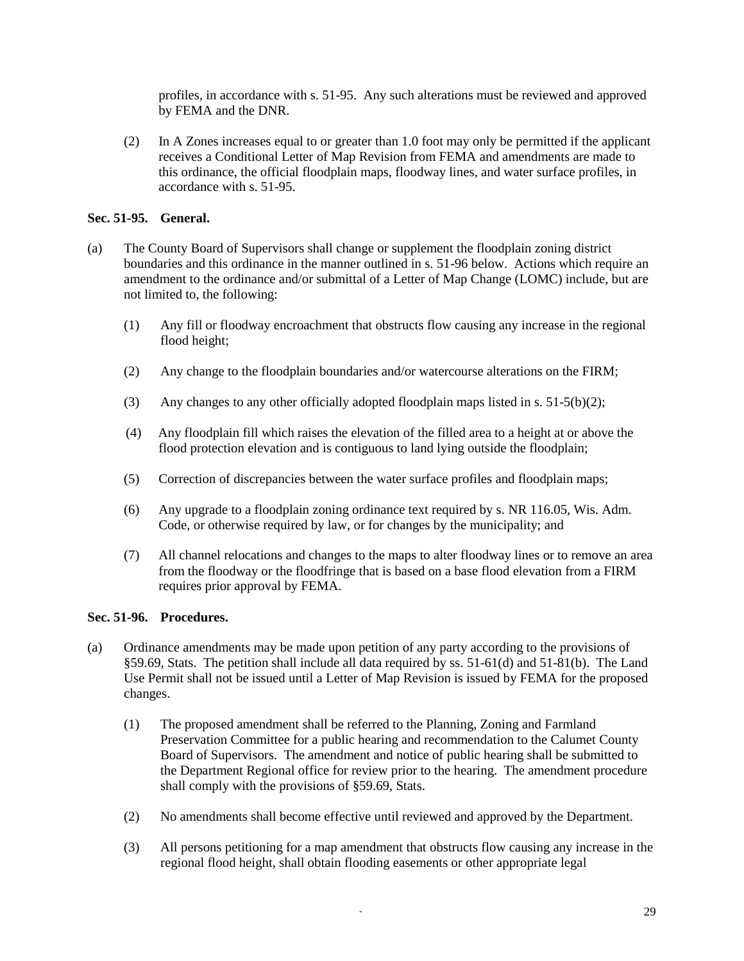profiles, in accordance with s. 51-95. Any such alterations must be reviewed and approved by FEMA and the DNR.

(2) In A Zones increases equal to or greater than 1.0 foot may only be permitted if the applicant receives a Conditional Letter of Map Revision from FEMA and amendments are made to this ordinance, the official floodplain maps, floodway lines, and water surface profiles, in accordance with s. 51-95.

# **Sec. 51-95. General.**

- (a) The County Board of Supervisors shall change or supplement the floodplain zoning district boundaries and this ordinance in the manner outlined in s. 51-96 below. Actions which require an amendment to the ordinance and/or submittal of a Letter of Map Change (LOMC) include, but are not limited to, the following:
	- (1) Any fill or floodway encroachment that obstructs flow causing any increase in the regional flood height;
	- (2) Any change to the floodplain boundaries and/or watercourse alterations on the FIRM;
	- (3) Any changes to any other officially adopted floodplain maps listed in s.  $51-5(b)(2)$ ;
	- (4) Any floodplain fill which raises the elevation of the filled area to a height at or above the flood protection elevation and is contiguous to land lying outside the floodplain;
	- (5) Correction of discrepancies between the water surface profiles and floodplain maps;
	- (6) Any upgrade to a floodplain zoning ordinance text required by s. NR 116.05, Wis. Adm. Code, or otherwise required by law, or for changes by the municipality; and
	- (7) All channel relocations and changes to the maps to alter floodway lines or to remove an area from the floodway or the floodfringe that is based on a base flood elevation from a FIRM requires prior approval by FEMA.

## **Sec. 51-96. Procedures.**

- (a) Ordinance amendments may be made upon petition of any party according to the provisions of §59.69, Stats. The petition shall include all data required by ss. 51-61(d) and 51-81(b). The Land Use Permit shall not be issued until a Letter of Map Revision is issued by FEMA for the proposed changes.
	- (1) The proposed amendment shall be referred to the Planning, Zoning and Farmland Preservation Committee for a public hearing and recommendation to the Calumet County Board of Supervisors. The amendment and notice of public hearing shall be submitted to the Department Regional office for review prior to the hearing. The amendment procedure shall comply with the provisions of §59.69, Stats.
	- (2) No amendments shall become effective until reviewed and approved by the Department.
	- (3) All persons petitioning for a map amendment that obstructs flow causing any increase in the regional flood height, shall obtain flooding easements or other appropriate legal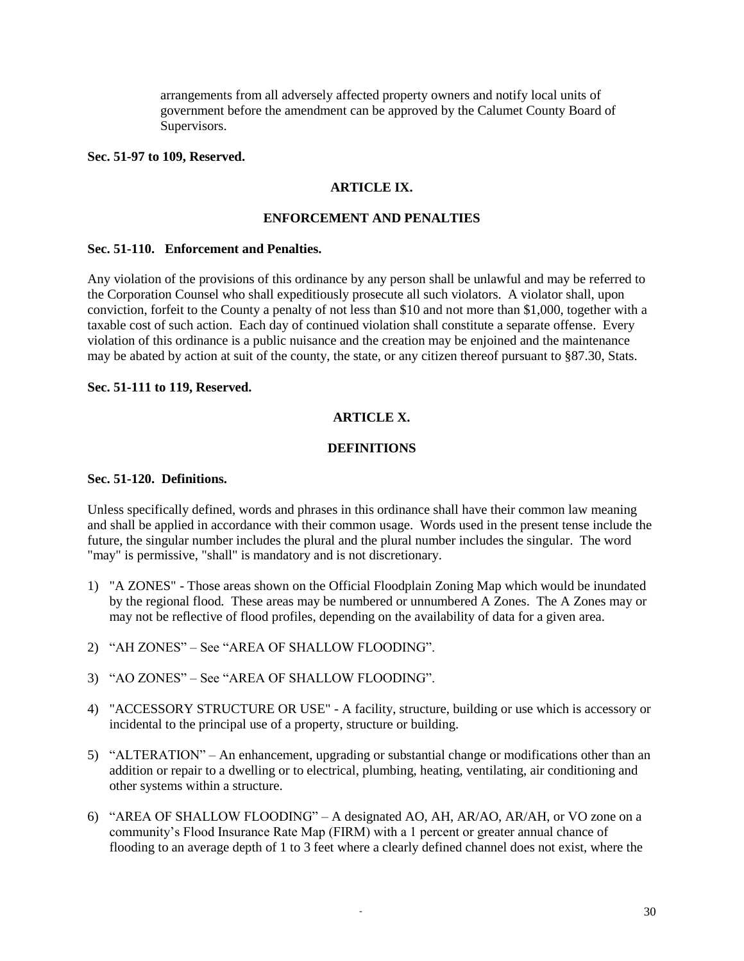arrangements from all adversely affected property owners and notify local units of government before the amendment can be approved by the Calumet County Board of Supervisors.

#### **Sec. 51-97 to 109, Reserved.**

## **ARTICLE IX.**

#### **ENFORCEMENT AND PENALTIES**

### **Sec. 51-110. Enforcement and Penalties.**

Any violation of the provisions of this ordinance by any person shall be unlawful and may be referred to the Corporation Counsel who shall expeditiously prosecute all such violators. A violator shall, upon conviction, forfeit to the County a penalty of not less than \$10 and not more than \$1,000, together with a taxable cost of such action. Each day of continued violation shall constitute a separate offense. Every violation of this ordinance is a public nuisance and the creation may be enjoined and the maintenance may be abated by action at suit of the county, the state, or any citizen thereof pursuant to §87.30, Stats.

## **Sec. 51-111 to 119, Reserved.**

## **ARTICLE X.**

### **DEFINITIONS**

#### **Sec. 51-120. Definitions.**

Unless specifically defined, words and phrases in this ordinance shall have their common law meaning and shall be applied in accordance with their common usage. Words used in the present tense include the future, the singular number includes the plural and the plural number includes the singular. The word "may" is permissive, "shall" is mandatory and is not discretionary.

- 1) "A ZONES" Those areas shown on the Official Floodplain Zoning Map which would be inundated by the regional flood*.* These areas may be numbered or unnumbered A Zones. The A Zones may or may not be reflective of flood profiles, depending on the availability of data for a given area.
- 2) "AH ZONES" See "AREA OF SHALLOW FLOODING".
- 3) "AO ZONES" See "AREA OF SHALLOW FLOODING".
- 4) "ACCESSORY STRUCTURE OR USE" A facility, structure, building or use which is accessory or incidental to the principal use of a property, structure or building.
- 5) "ALTERATION" An enhancement, upgrading or substantial change or modifications other than an addition or repair to a dwelling or to electrical, plumbing, heating, ventilating, air conditioning and other systems within a structure.
- 6) "AREA OF SHALLOW FLOODING" A designated AO, AH, AR/AO, AR/AH, or VO zone on a community's Flood Insurance Rate Map (FIRM) with a 1 percent or greater annual chance of flooding to an average depth of 1 to 3 feet where a clearly defined channel does not exist, where the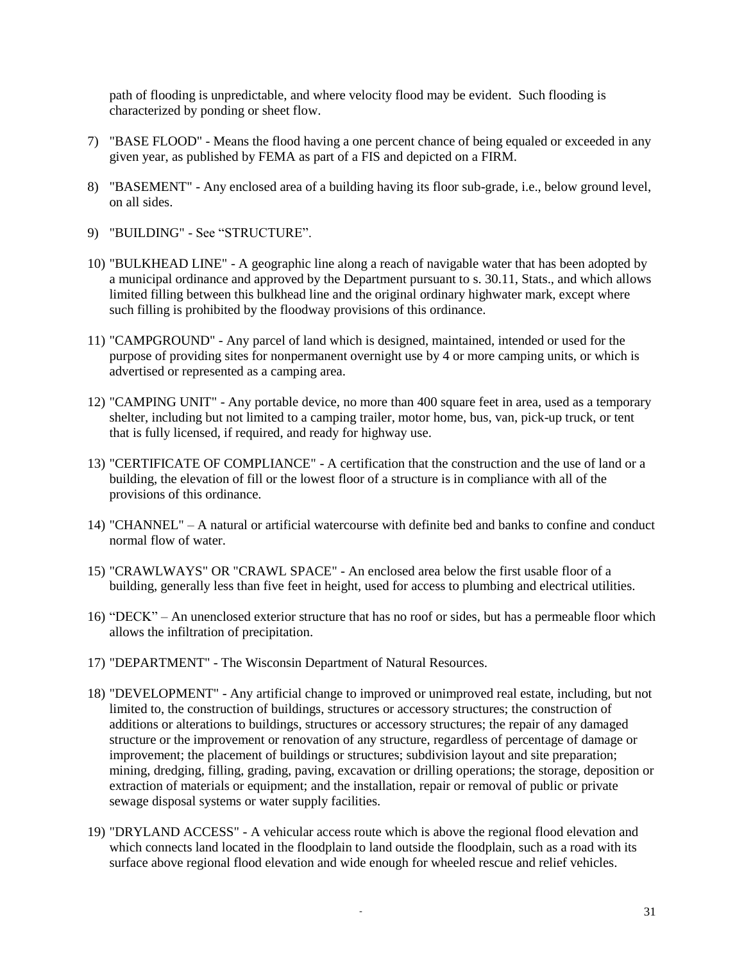path of flooding is unpredictable, and where velocity flood may be evident. Such flooding is characterized by ponding or sheet flow.

- 7) "BASE FLOOD" Means the flood having a one percent chance of being equaled or exceeded in any given year, as published by FEMA as part of a FIS and depicted on a FIRM.
- 8) "BASEMENT" Any enclosed area of a building having its floor sub-grade, i.e., below ground level, on all sides.
- 9) "BUILDING" See "STRUCTURE".
- 10) "BULKHEAD LINE" A geographic line along a reach of navigable water that has been adopted by a municipal ordinance and approved by the Department pursuant to s. 30.11, Stats., and which allows limited filling between this bulkhead line and the original ordinary highwater mark, except where such filling is prohibited by the floodway provisions of this ordinance.
- 11) "CAMPGROUND" Any parcel of land which is designed, maintained, intended or used for the purpose of providing sites for nonpermanent overnight use by 4 or more camping units, or which is advertised or represented as a camping area.
- 12) "CAMPING UNIT" Any portable device, no more than 400 square feet in area, used as a temporary shelter, including but not limited to a camping trailer, motor home, bus, van, pick-up truck, or tent that is fully licensed, if required, and ready for highway use.
- 13) "CERTIFICATE OF COMPLIANCE" A certification that the construction and the use of land or a building, the elevation of fill or the lowest floor of a structure is in compliance with all of the provisions of this ordinance.
- 14) "CHANNEL" A natural or artificial watercourse with definite bed and banks to confine and conduct normal flow of water.
- 15) "CRAWLWAYS" OR "CRAWL SPACE" An enclosed area below the first usable floor of a building, generally less than five feet in height, used for access to plumbing and electrical utilities.
- 16) "DECK" An unenclosed exterior structure that has no roof or sides, but has a permeable floor which allows the infiltration of precipitation.
- 17) "DEPARTMENT" The Wisconsin Department of Natural Resources.
- 18) "DEVELOPMENT" Any artificial change to improved or unimproved real estate, including, but not limited to, the construction of buildings, structures or accessory structures; the construction of additions or alterations to buildings, structures or accessory structures; the repair of any damaged structure or the improvement or renovation of any structure, regardless of percentage of damage or improvement; the placement of buildings or structures; subdivision layout and site preparation; mining, dredging, filling, grading, paving, excavation or drilling operations; the storage, deposition or extraction of materials or equipment; and the installation, repair or removal of public or private sewage disposal systems or water supply facilities.
- 19) "DRYLAND ACCESS" A vehicular access route which is above the regional flood elevation and which connects land located in the floodplain to land outside the floodplain, such as a road with its surface above regional flood elevation and wide enough for wheeled rescue and relief vehicles.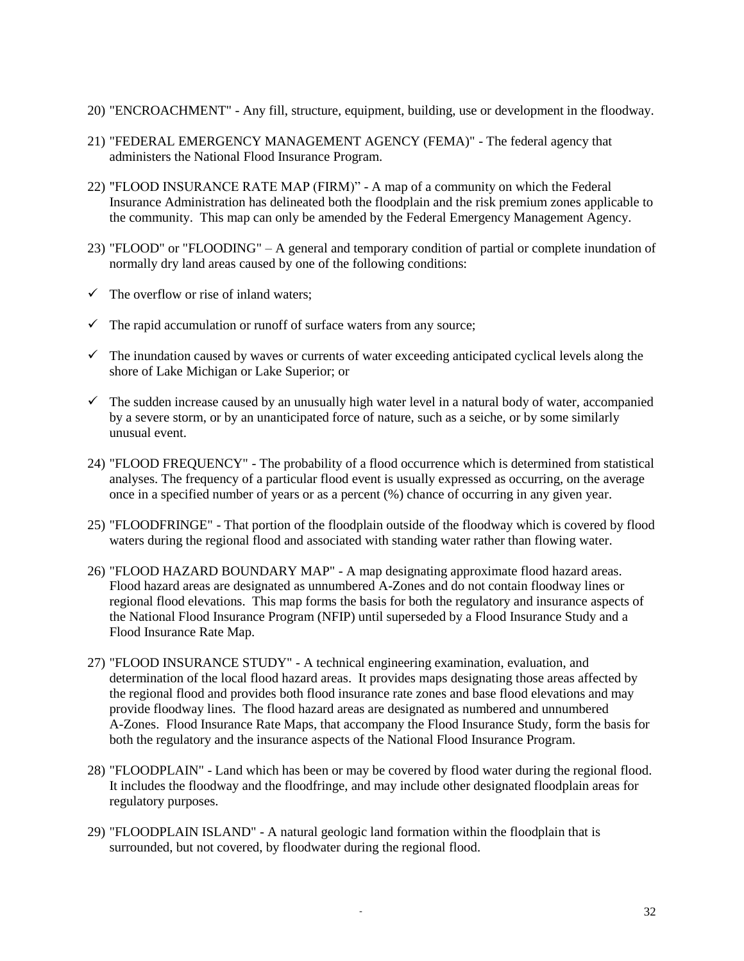- 20) "ENCROACHMENT" Any fill, structure, equipment, building, use or development in the floodway.
- 21) "FEDERAL EMERGENCY MANAGEMENT AGENCY (FEMA)" The federal agency that administers the National Flood Insurance Program.
- 22) "FLOOD INSURANCE RATE MAP (FIRM)" A map of a community on which the Federal Insurance Administration has delineated both the floodplain and the risk premium zones applicable to the community. This map can only be amended by the Federal Emergency Management Agency.
- 23) "FLOOD" or "FLOODING" A general and temporary condition of partial or complete inundation of normally dry land areas caused by one of the following conditions:
- $\checkmark$  The overflow or rise of inland waters;
- $\checkmark$  The rapid accumulation or runoff of surface waters from any source;
- $\checkmark$  The inundation caused by waves or currents of water exceeding anticipated cyclical levels along the shore of Lake Michigan or Lake Superior; or
- $\checkmark$  The sudden increase caused by an unusually high water level in a natural body of water, accompanied by a severe storm, or by an unanticipated force of nature, such as a seiche, or by some similarly unusual event.
- 24) "FLOOD FREQUENCY" The probability of a flood occurrence which is determined from statistical analyses. The frequency of a particular flood event is usually expressed as occurring, on the average once in a specified number of years or as a percent (%) chance of occurring in any given year.
- 25) "FLOODFRINGE" That portion of the floodplain outside of the floodway which is covered by flood waters during the regional flood and associated with standing water rather than flowing water.
- 26) "FLOOD HAZARD BOUNDARY MAP" A map designating approximate flood hazard areas. Flood hazard areas are designated as unnumbered A-Zones and do not contain floodway lines or regional flood elevations. This map forms the basis for both the regulatory and insurance aspects of the National Flood Insurance Program (NFIP) until superseded by a Flood Insurance Study and a Flood Insurance Rate Map.
- 27) "FLOOD INSURANCE STUDY" A technical engineering examination, evaluation, and determination of the local flood hazard areas. It provides maps designating those areas affected by the regional flood and provides both flood insurance rate zones and base flood elevations and may provide floodway lines. The flood hazard areas are designated as numbered and unnumbered A-Zones. Flood Insurance Rate Maps, that accompany the Flood Insurance Study, form the basis for both the regulatory and the insurance aspects of the National Flood Insurance Program.
- 28) "FLOODPLAIN" Land which has been or may be covered by flood water during the regional flood. It includes the floodway and the floodfringe, and may include other designated floodplain areas for regulatory purposes.
- 29) "FLOODPLAIN ISLAND" A natural geologic land formation within the floodplain that is surrounded, but not covered, by floodwater during the regional flood.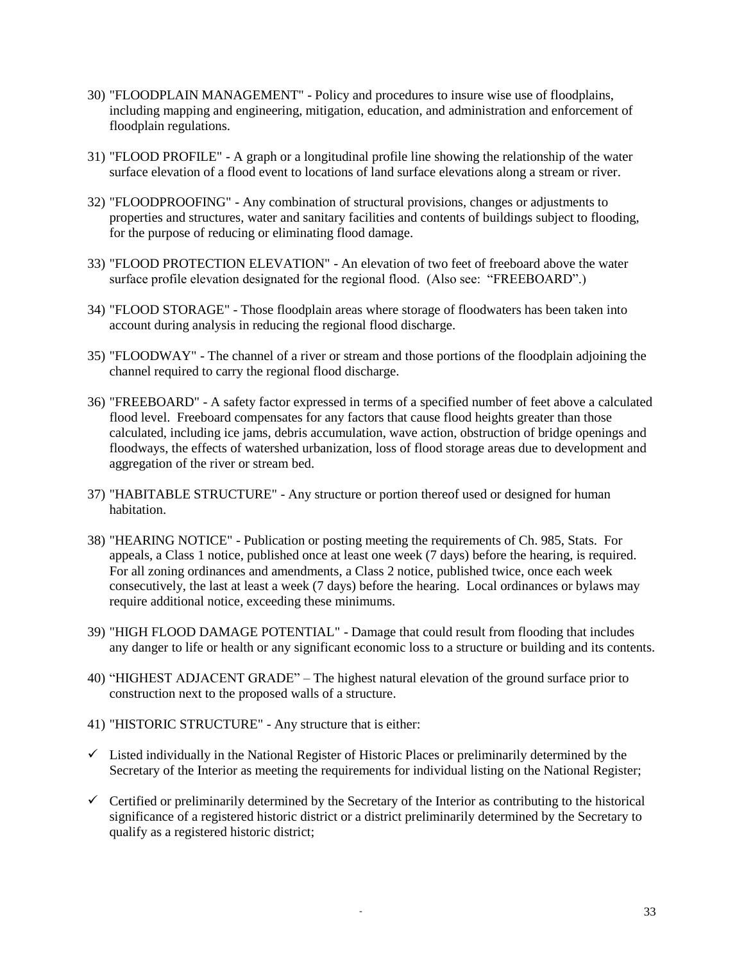- 30) "FLOODPLAIN MANAGEMENT" Policy and procedures to insure wise use of floodplains, including mapping and engineering, mitigation, education, and administration and enforcement of floodplain regulations.
- 31) "FLOOD PROFILE" A graph or a longitudinal profile line showing the relationship of the water surface elevation of a flood event to locations of land surface elevations along a stream or river.
- 32) "FLOODPROOFING" Any combination of structural provisions, changes or adjustments to properties and structures, water and sanitary facilities and contents of buildings subject to flooding, for the purpose of reducing or eliminating flood damage.
- 33) "FLOOD PROTECTION ELEVATION" An elevation of two feet of freeboard above the water surface profile elevation designated for the regional flood. (Also see: "FREEBOARD".)
- 34) "FLOOD STORAGE" Those floodplain areas where storage of floodwaters has been taken into account during analysis in reducing the regional flood discharge.
- 35) "FLOODWAY" The channel of a river or stream and those portions of the floodplain adjoining the channel required to carry the regional flood discharge.
- 36) "FREEBOARD" A safety factor expressed in terms of a specified number of feet above a calculated flood level. Freeboard compensates for any factors that cause flood heights greater than those calculated, including ice jams, debris accumulation, wave action, obstruction of bridge openings and floodways, the effects of watershed urbanization, loss of flood storage areas due to development and aggregation of the river or stream bed.
- 37) "HABITABLE STRUCTURE" Any structure or portion thereof used or designed for human habitation.
- 38) "HEARING NOTICE" Publication or posting meeting the requirements of Ch. 985, Stats. For appeals, a Class 1 notice, published once at least one week (7 days) before the hearing, is required. For all zoning ordinances and amendments, a Class 2 notice, published twice, once each week consecutively, the last at least a week (7 days) before the hearing. Local ordinances or bylaws may require additional notice, exceeding these minimums.
- 39) "HIGH FLOOD DAMAGE POTENTIAL" Damage that could result from flooding that includes any danger to life or health or any significant economic loss to a structure or building and its contents.
- 40) "HIGHEST ADJACENT GRADE" The highest natural elevation of the ground surface prior to construction next to the proposed walls of a structure.
- 41) "HISTORIC STRUCTURE" Any structure that is either:
- $\checkmark$  Listed individually in the National Register of Historic Places or preliminarily determined by the Secretary of the Interior as meeting the requirements for individual listing on the National Register;
- $\checkmark$  Certified or preliminarily determined by the Secretary of the Interior as contributing to the historical significance of a registered historic district or a district preliminarily determined by the Secretary to qualify as a registered historic district;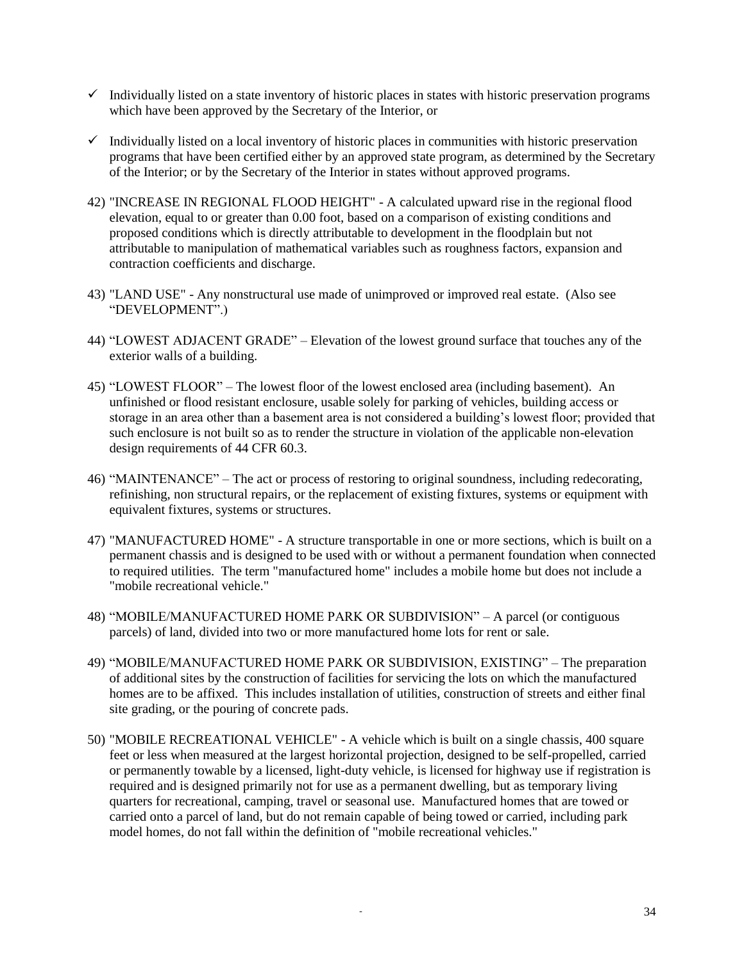- $\checkmark$  Individually listed on a state inventory of historic places in states with historic preservation programs which have been approved by the Secretary of the Interior, or
- $\checkmark$  Individually listed on a local inventory of historic places in communities with historic preservation programs that have been certified either by an approved state program, as determined by the Secretary of the Interior; or by the Secretary of the Interior in states without approved programs.
- 42) "INCREASE IN REGIONAL FLOOD HEIGHT" A calculated upward rise in the regional flood elevation, equal to or greater than 0.00 foot, based on a comparison of existing conditions and proposed conditions which is directly attributable to development in the floodplain but not attributable to manipulation of mathematical variables such as roughness factors, expansion and contraction coefficients and discharge.
- 43) "LAND USE" Any nonstructural use made of unimproved or improved real estate. (Also see "DEVELOPMENT".)
- 44) "LOWEST ADJACENT GRADE" Elevation of the lowest ground surface that touches any of the exterior walls of a building.
- 45) "LOWEST FLOOR" The lowest floor of the lowest enclosed area (including basement). An unfinished or flood resistant enclosure, usable solely for parking of vehicles, building access or storage in an area other than a basement area is not considered a building's lowest floor; provided that such enclosure is not built so as to render the structure in violation of the applicable non-elevation design requirements of 44 CFR 60.3.
- 46) "MAINTENANCE" The act or process of restoring to original soundness, including redecorating, refinishing, non structural repairs, or the replacement of existing fixtures, systems or equipment with equivalent fixtures, systems or structures.
- 47) "MANUFACTURED HOME" A structure transportable in one or more sections, which is built on a permanent chassis and is designed to be used with or without a permanent foundation when connected to required utilities. The term "manufactured home" includes a mobile home but does not include a "mobile recreational vehicle."
- 48) "MOBILE/MANUFACTURED HOME PARK OR SUBDIVISION" A parcel (or contiguous parcels) of land, divided into two or more manufactured home lots for rent or sale.
- 49) "MOBILE/MANUFACTURED HOME PARK OR SUBDIVISION, EXISTING" The preparation of additional sites by the construction of facilities for servicing the lots on which the manufactured homes are to be affixed. This includes installation of utilities, construction of streets and either final site grading, or the pouring of concrete pads.
- 50) "MOBILE RECREATIONAL VEHICLE" A vehicle which is built on a single chassis, 400 square feet or less when measured at the largest horizontal projection, designed to be self-propelled, carried or permanently towable by a licensed, light-duty vehicle, is licensed for highway use if registration is required and is designed primarily not for use as a permanent dwelling, but as temporary living quarters for recreational, camping, travel or seasonal use. Manufactured homes that are towed or carried onto a parcel of land, but do not remain capable of being towed or carried, including park model homes, do not fall within the definition of "mobile recreational vehicles."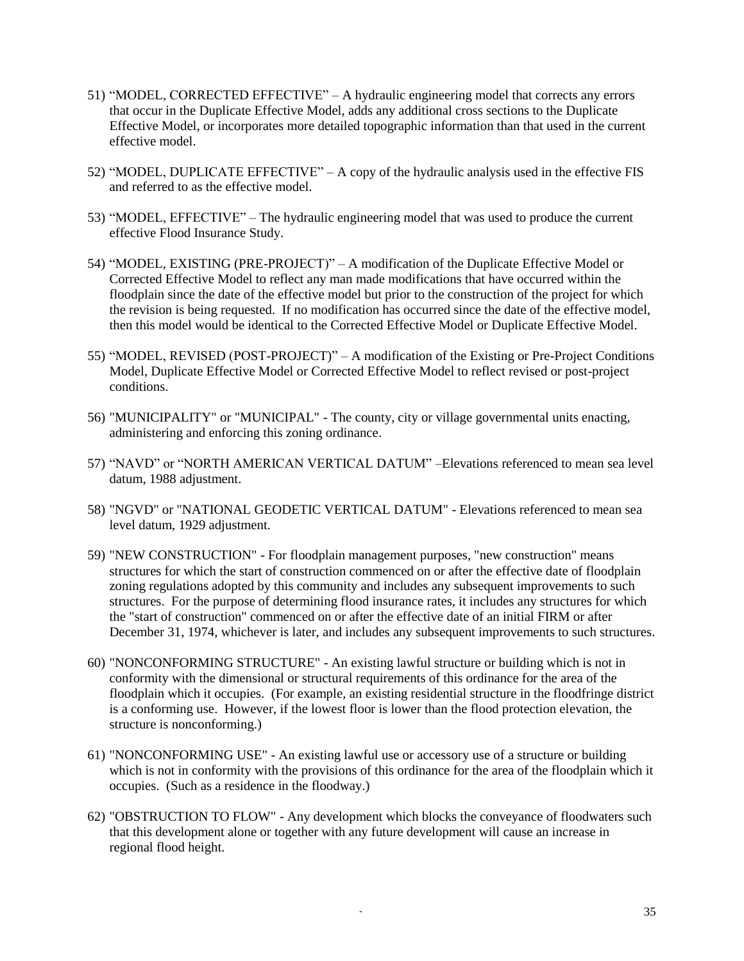- 51) "MODEL, CORRECTED EFFECTIVE" A hydraulic engineering model that corrects any errors that occur in the Duplicate Effective Model, adds any additional cross sections to the Duplicate Effective Model, or incorporates more detailed topographic information than that used in the current effective model.
- 52) "MODEL, DUPLICATE EFFECTIVE" A copy of the hydraulic analysis used in the effective FIS and referred to as the effective model.
- 53) "MODEL, EFFECTIVE" The hydraulic engineering model that was used to produce the current effective Flood Insurance Study.
- 54) "MODEL, EXISTING (PRE-PROJECT)" A modification of the Duplicate Effective Model or Corrected Effective Model to reflect any man made modifications that have occurred within the floodplain since the date of the effective model but prior to the construction of the project for which the revision is being requested. If no modification has occurred since the date of the effective model, then this model would be identical to the Corrected Effective Model or Duplicate Effective Model.
- 55) "MODEL, REVISED (POST-PROJECT)" A modification of the Existing or Pre-Project Conditions Model, Duplicate Effective Model or Corrected Effective Model to reflect revised or post-project conditions.
- 56) "MUNICIPALITY" or "MUNICIPAL" The county, city or village governmental units enacting, administering and enforcing this zoning ordinance.
- 57) "NAVD" or "NORTH AMERICAN VERTICAL DATUM" –Elevations referenced to mean sea level datum, 1988 adjustment.
- 58) "NGVD" or "NATIONAL GEODETIC VERTICAL DATUM" Elevations referenced to mean sea level datum, 1929 adjustment.
- 59) "NEW CONSTRUCTION" For floodplain management purposes, "new construction" means structures for which the start of construction commenced on or after the effective date of floodplain zoning regulations adopted by this community and includes any subsequent improvements to such structures. For the purpose of determining flood insurance rates, it includes any structures for which the "start of construction" commenced on or after the effective date of an initial FIRM or after December 31, 1974, whichever is later, and includes any subsequent improvements to such structures.
- 60) "NONCONFORMING STRUCTURE" An existing lawful structure or building which is not in conformity with the dimensional or structural requirements of this ordinance for the area of the floodplain which it occupies. (For example, an existing residential structure in the floodfringe district is a conforming use. However, if the lowest floor is lower than the flood protection elevation, the structure is nonconforming.)
- 61) "NONCONFORMING USE" An existing lawful use or accessory use of a structure or building which is not in conformity with the provisions of this ordinance for the area of the floodplain which it occupies. (Such as a residence in the floodway.)
- 62) "OBSTRUCTION TO FLOW" Any development which blocks the conveyance of floodwaters such that this development alone or together with any future development will cause an increase in regional flood height.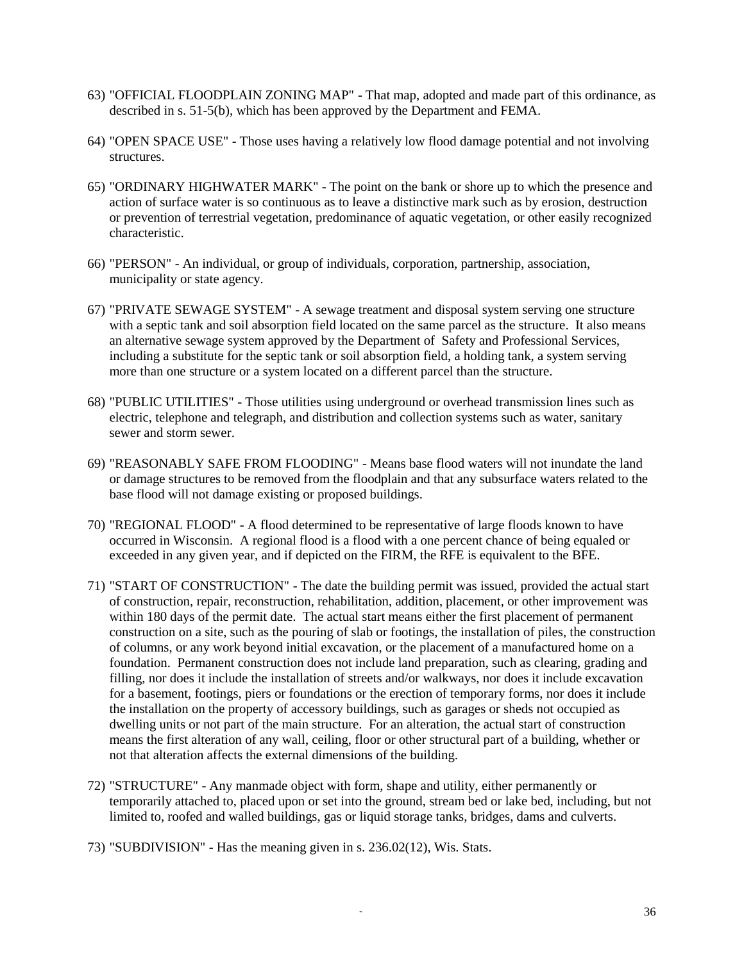- 63) "OFFICIAL FLOODPLAIN ZONING MAP" That map, adopted and made part of this ordinance, as described in s. 51-5(b), which has been approved by the Department and FEMA.
- 64) "OPEN SPACE USE" Those uses having a relatively low flood damage potential and not involving structures.
- 65) "ORDINARY HIGHWATER MARK" The point on the bank or shore up to which the presence and action of surface water is so continuous as to leave a distinctive mark such as by erosion, destruction or prevention of terrestrial vegetation, predominance of aquatic vegetation, or other easily recognized characteristic.
- 66) "PERSON" An individual, or group of individuals, corporation, partnership, association, municipality or state agency.
- 67) "PRIVATE SEWAGE SYSTEM" A sewage treatment and disposal system serving one structure with a septic tank and soil absorption field located on the same parcel as the structure. It also means an alternative sewage system approved by the Department of Safety and Professional Services, including a substitute for the septic tank or soil absorption field, a holding tank, a system serving more than one structure or a system located on a different parcel than the structure.
- 68) "PUBLIC UTILITIES" Those utilities using underground or overhead transmission lines such as electric, telephone and telegraph, and distribution and collection systems such as water, sanitary sewer and storm sewer.
- 69) "REASONABLY SAFE FROM FLOODING" Means base flood waters will not inundate the land or damage structures to be removed from the floodplain and that any subsurface waters related to the base flood will not damage existing or proposed buildings.
- 70) "REGIONAL FLOOD" A flood determined to be representative of large floods known to have occurred in Wisconsin. A regional flood is a flood with a one percent chance of being equaled or exceeded in any given year, and if depicted on the FIRM, the RFE is equivalent to the BFE.
- 71) "START OF CONSTRUCTION" The date the building permit was issued, provided the actual start of construction, repair, reconstruction, rehabilitation, addition, placement, or other improvement was within 180 days of the permit date. The actual start means either the first placement of permanent construction on a site, such as the pouring of slab or footings, the installation of piles, the construction of columns, or any work beyond initial excavation, or the placement of a manufactured home on a foundation. Permanent construction does not include land preparation, such as clearing, grading and filling, nor does it include the installation of streets and/or walkways, nor does it include excavation for a basement, footings, piers or foundations or the erection of temporary forms, nor does it include the installation on the property of accessory buildings, such as garages or sheds not occupied as dwelling units or not part of the main structure. For an alteration, the actual start of construction means the first alteration of any wall, ceiling, floor or other structural part of a building, whether or not that alteration affects the external dimensions of the building.
- 72) "STRUCTURE" Any manmade object with form, shape and utility, either permanently or temporarily attached to, placed upon or set into the ground, stream bed or lake bed, including, but not limited to, roofed and walled buildings, gas or liquid storage tanks, bridges, dams and culverts.
- 73) "SUBDIVISION" Has the meaning given in s. 236.02(12), Wis. Stats.